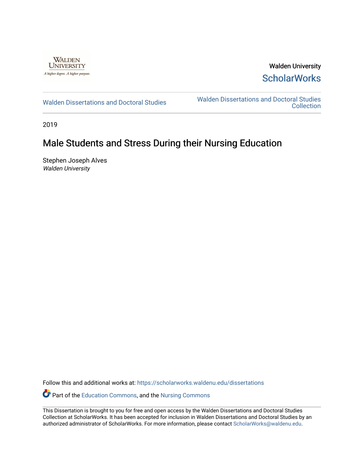

Walden University **ScholarWorks** 

[Walden Dissertations and Doctoral Studies](https://scholarworks.waldenu.edu/dissertations) Walden Dissertations and Doctoral Studies **Collection** 

2019

# Male Students and Stress During their Nursing Education

Stephen Joseph Alves Walden University

Follow this and additional works at: [https://scholarworks.waldenu.edu/dissertations](https://scholarworks.waldenu.edu/dissertations?utm_source=scholarworks.waldenu.edu%2Fdissertations%2F7584&utm_medium=PDF&utm_campaign=PDFCoverPages)

Part of the [Education Commons](http://network.bepress.com/hgg/discipline/784?utm_source=scholarworks.waldenu.edu%2Fdissertations%2F7584&utm_medium=PDF&utm_campaign=PDFCoverPages), and the [Nursing Commons](http://network.bepress.com/hgg/discipline/718?utm_source=scholarworks.waldenu.edu%2Fdissertations%2F7584&utm_medium=PDF&utm_campaign=PDFCoverPages) 

This Dissertation is brought to you for free and open access by the Walden Dissertations and Doctoral Studies Collection at ScholarWorks. It has been accepted for inclusion in Walden Dissertations and Doctoral Studies by an authorized administrator of ScholarWorks. For more information, please contact [ScholarWorks@waldenu.edu](mailto:ScholarWorks@waldenu.edu).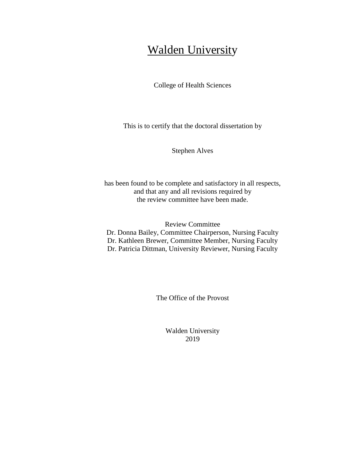# **Walden University**

College of Health Sciences

This is to certify that the doctoral dissertation by

Stephen Alves

has been found to be complete and satisfactory in all respects, and that any and all revisions required by the review committee have been made.

Review Committee Dr. Donna Bailey, Committee Chairperson, Nursing Faculty Dr. Kathleen Brewer, Committee Member, Nursing Faculty Dr. Patricia Dittman, University Reviewer, Nursing Faculty

The Office of the Provost

Walden University 2019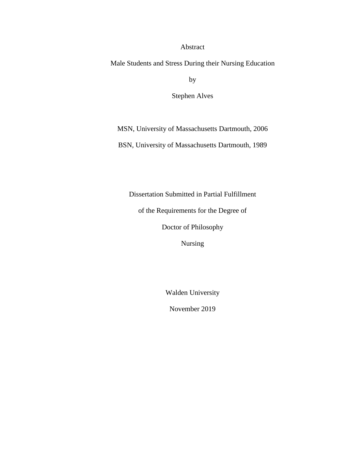Abstract

Male Students and Stress During their Nursing Education

by

Stephen Alves

MSN, University of Massachusetts Dartmouth, 2006

BSN, University of Massachusetts Dartmouth, 1989

Dissertation Submitted in Partial Fulfillment

of the Requirements for the Degree of

Doctor of Philosophy

Nursing

Walden University

November 2019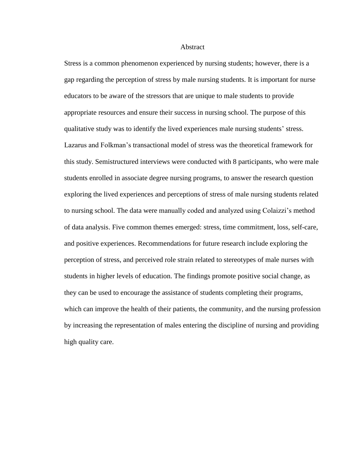#### Abstract

Stress is a common phenomenon experienced by nursing students; however, there is a gap regarding the perception of stress by male nursing students. It is important for nurse educators to be aware of the stressors that are unique to male students to provide appropriate resources and ensure their success in nursing school. The purpose of this qualitative study was to identify the lived experiences male nursing students' stress. Lazarus and Folkman's transactional model of stress was the theoretical framework for this study. Semistructured interviews were conducted with 8 participants, who were male students enrolled in associate degree nursing programs, to answer the research question exploring the lived experiences and perceptions of stress of male nursing students related to nursing school. The data were manually coded and analyzed using Colaizzi's method of data analysis. Five common themes emerged: stress, time commitment, loss, self-care, and positive experiences. Recommendations for future research include exploring the perception of stress, and perceived role strain related to stereotypes of male nurses with students in higher levels of education. The findings promote positive social change, as they can be used to encourage the assistance of students completing their programs, which can improve the health of their patients, the community, and the nursing profession by increasing the representation of males entering the discipline of nursing and providing high quality care.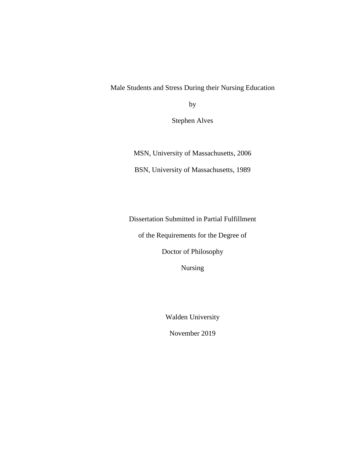Male Students and Stress During their Nursing Education

by

Stephen Alves

MSN, University of Massachusetts, 2006

BSN, University of Massachusetts, 1989

Dissertation Submitted in Partial Fulfillment

of the Requirements for the Degree of

Doctor of Philosophy

Nursing

Walden University

November 2019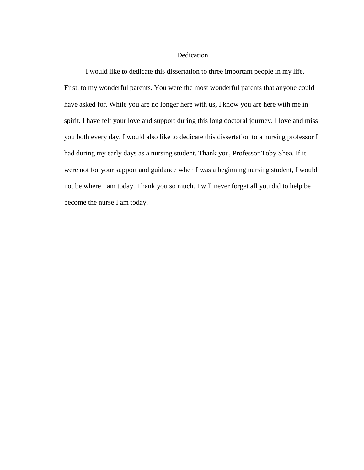#### Dedication

I would like to dedicate this dissertation to three important people in my life. First, to my wonderful parents. You were the most wonderful parents that anyone could have asked for. While you are no longer here with us, I know you are here with me in spirit. I have felt your love and support during this long doctoral journey. I love and miss you both every day. I would also like to dedicate this dissertation to a nursing professor I had during my early days as a nursing student. Thank you, Professor Toby Shea. If it were not for your support and guidance when I was a beginning nursing student, I would not be where I am today. Thank you so much. I will never forget all you did to help be become the nurse I am today.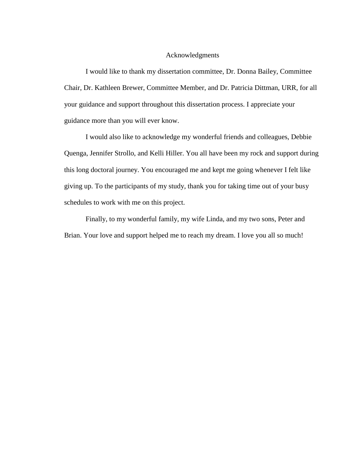#### Acknowledgments

I would like to thank my dissertation committee, Dr. Donna Bailey, Committee Chair, Dr. Kathleen Brewer, Committee Member, and Dr. Patricia Dittman, URR, for all your guidance and support throughout this dissertation process. I appreciate your guidance more than you will ever know.

I would also like to acknowledge my wonderful friends and colleagues, Debbie Quenga, Jennifer Strollo, and Kelli Hiller. You all have been my rock and support during this long doctoral journey. You encouraged me and kept me going whenever I felt like giving up. To the participants of my study, thank you for taking time out of your busy schedules to work with me on this project.

Finally, to my wonderful family, my wife Linda, and my two sons, Peter and Brian. Your love and support helped me to reach my dream. I love you all so much!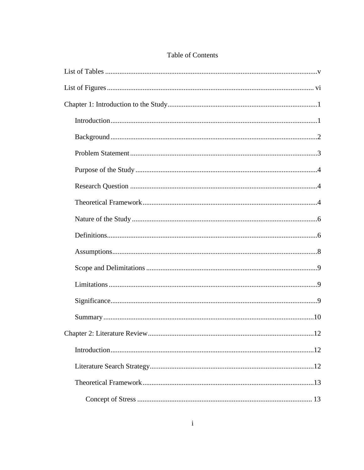## Table of Contents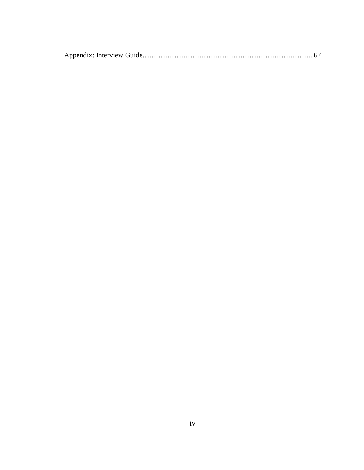|--|--|--|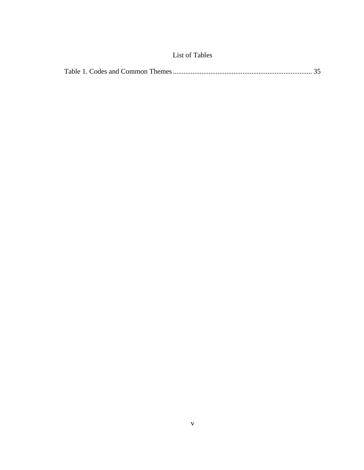| <b>List of Tables</b> |  |
|-----------------------|--|
|-----------------------|--|

<span id="page-11-0"></span>

|--|--|--|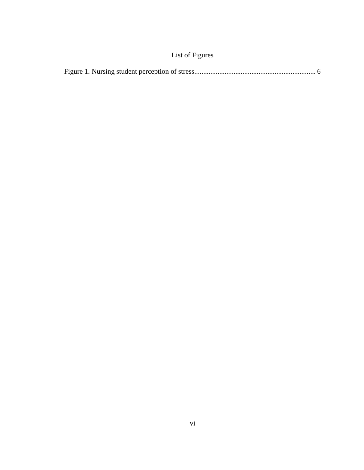## List of Figures

<span id="page-12-0"></span>

|--|--|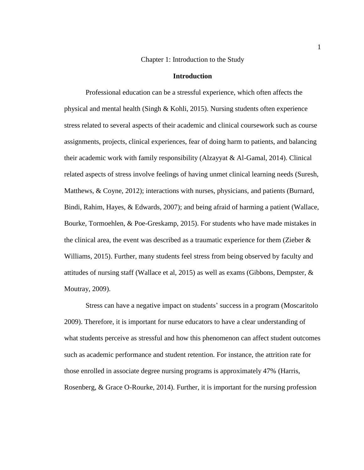Chapter 1: Introduction to the Study

#### **Introduction**

<span id="page-13-1"></span><span id="page-13-0"></span>Professional education can be a stressful experience, which often affects the physical and mental health (Singh & Kohli, 2015). Nursing students often experience stress related to several aspects of their academic and clinical coursework such as course assignments, projects, clinical experiences, fear of doing harm to patients, and balancing their academic work with family responsibility (Alzayyat & Al-Gamal, 2014). Clinical related aspects of stress involve feelings of having unmet clinical learning needs (Suresh, Matthews, & Coyne, 2012); interactions with nurses, physicians, and patients (Burnard, Bindi, Rahim, Hayes, & Edwards, 2007); and being afraid of harming a patient (Wallace, Bourke, Tormoehlen, & Poe-Greskamp, 2015). For students who have made mistakes in the clinical area, the event was described as a traumatic experience for them (Zieber & Williams, 2015). Further, many students feel stress from being observed by faculty and attitudes of nursing staff (Wallace et al, 2015) as well as exams (Gibbons, Dempster,  $\&$ Moutray, 2009).

Stress can have a negative impact on students' success in a program (Moscaritolo 2009). Therefore, it is important for nurse educators to have a clear understanding of what students perceive as stressful and how this phenomenon can affect student outcomes such as academic performance and student retention. For instance, the attrition rate for those enrolled in associate degree nursing programs is approximately 47% (Harris, Rosenberg, & Grace O-Rourke, 2014). Further, it is important for the nursing profession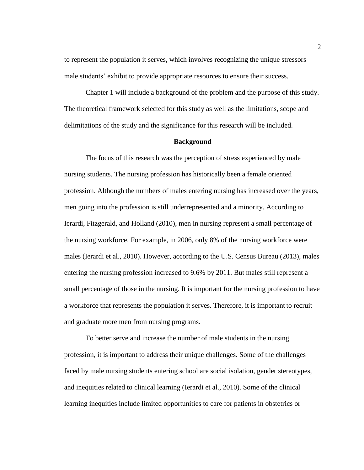to represent the population it serves, which involves recognizing the unique stressors male students' exhibit to provide appropriate resources to ensure their success.

Chapter 1 will include a background of the problem and the purpose of this study. The theoretical framework selected for this study as well as the limitations, scope and delimitations of the study and the significance for this research will be included.

#### **Background**

<span id="page-14-0"></span>The focus of this research was the perception of stress experienced by male nursing students. The nursing profession has historically been a female oriented profession. Although the numbers of males entering nursing has increased over the years, men going into the profession is still underrepresented and a minority. According to Ierardi, Fitzgerald, and Holland (2010), men in nursing represent a small percentage of the nursing workforce. For example, in 2006, only 8% of the nursing workforce were males (Ierardi et al., 2010). However, according to the U.S. Census Bureau (2013), males entering the nursing profession increased to 9.6% by 2011. But males still represent a small percentage of those in the nursing. It is important for the nursing profession to have a workforce that represents the population it serves. Therefore, it is important to recruit and graduate more men from nursing programs.

To better serve and increase the number of male students in the nursing profession, it is important to address their unique challenges. Some of the challenges faced by male nursing students entering school are social isolation, gender stereotypes, and inequities related to clinical learning (Ierardi et al., 2010). Some of the clinical learning inequities include limited opportunities to care for patients in obstetrics or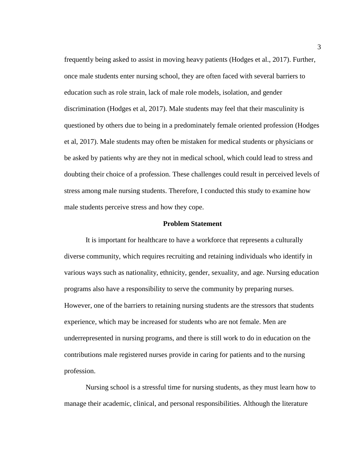frequently being asked to assist in moving heavy patients (Hodges et al., 2017). Further, once male students enter nursing school, they are often faced with several barriers to education such as role strain, lack of male role models, isolation, and gender discrimination (Hodges et al, 2017). Male students may feel that their masculinity is questioned by others due to being in a predominately female oriented profession (Hodges et al, 2017). Male students may often be mistaken for medical students or physicians or be asked by patients why are they not in medical school, which could lead to stress and doubting their choice of a profession. These challenges could result in perceived levels of stress among male nursing students. Therefore, I conducted this study to examine how male students perceive stress and how they cope.

#### **Problem Statement**

<span id="page-15-0"></span>It is important for healthcare to have a workforce that represents a culturally diverse community, which requires recruiting and retaining individuals who identify in various ways such as nationality, ethnicity, gender, sexuality, and age. Nursing education programs also have a responsibility to serve the community by preparing nurses. However, one of the barriers to retaining nursing students are the stressors that students experience, which may be increased for students who are not female. Men are underrepresented in nursing programs, and there is still work to do in education on the contributions male registered nurses provide in caring for patients and to the nursing profession.

Nursing school is a stressful time for nursing students, as they must learn how to manage their academic, clinical, and personal responsibilities. Although the literature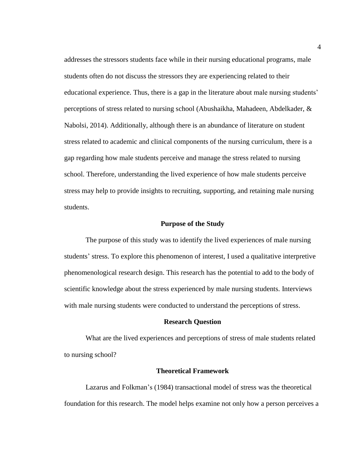addresses the stressors students face while in their nursing educational programs, male students often do not discuss the stressors they are experiencing related to their educational experience. Thus, there is a gap in the literature about male nursing students' perceptions of stress related to nursing school (Abushaikha, Mahadeen, Abdelkader, & Nabolsi, 2014). Additionally, although there is an abundance of literature on student stress related to academic and clinical components of the nursing curriculum, there is a gap regarding how male students perceive and manage the stress related to nursing school. Therefore, understanding the lived experience of how male students perceive stress may help to provide insights to recruiting, supporting, and retaining male nursing students.

#### **Purpose of the Study**

<span id="page-16-0"></span>The purpose of this study was to identify the lived experiences of male nursing students' stress. To explore this phenomenon of interest, I used a qualitative interpretive phenomenological research design. This research has the potential to add to the body of scientific knowledge about the stress experienced by male nursing students. Interviews with male nursing students were conducted to understand the perceptions of stress.

#### **Research Question**

<span id="page-16-1"></span>What are the lived experiences and perceptions of stress of male students related to nursing school?

#### **Theoretical Framework**

<span id="page-16-2"></span>Lazarus and Folkman's (1984) transactional model of stress was the theoretical foundation for this research. The model helps examine not only how a person perceives a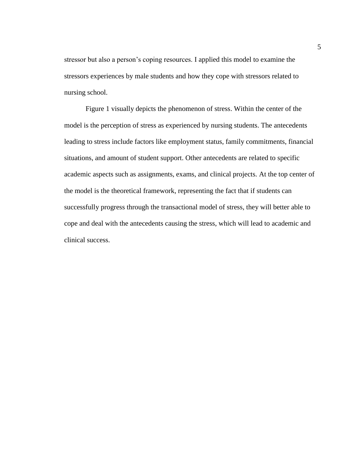stressor but also a person's coping resources. I applied this model to examine the stressors experiences by male students and how they cope with stressors related to nursing school.

Figure 1 visually depicts the phenomenon of stress. Within the center of the model is the perception of stress as experienced by nursing students. The antecedents leading to stress include factors like employment status, family commitments, financial situations, and amount of student support. Other antecedents are related to specific academic aspects such as assignments, exams, and clinical projects. At the top center of the model is the theoretical framework, representing the fact that if students can successfully progress through the transactional model of stress, they will better able to cope and deal with the antecedents causing the stress, which will lead to academic and clinical success.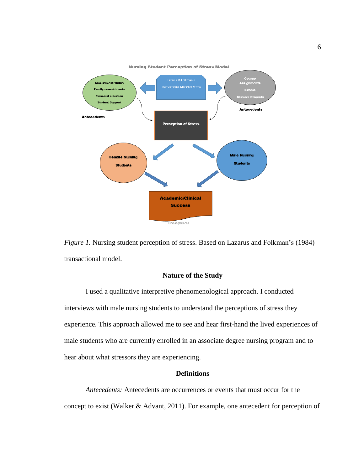



## **Nature of the Study**

<span id="page-18-0"></span>I used a qualitative interpretive phenomenological approach. I conducted interviews with male nursing students to understand the perceptions of stress they experience. This approach allowed me to see and hear first-hand the lived experiences of male students who are currently enrolled in an associate degree nursing program and to hear about what stressors they are experiencing.

### **Definitions**

<span id="page-18-1"></span>*Antecedents:* Antecedents are occurrences or events that must occur for the concept to exist (Walker & Advant, 2011). For example, one antecedent for perception of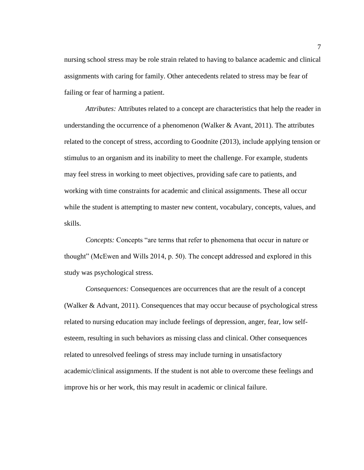nursing school stress may be role strain related to having to balance academic and clinical assignments with caring for family. Other antecedents related to stress may be fear of failing or fear of harming a patient.

*Attributes:* Attributes related to a concept are characteristics that help the reader in understanding the occurrence of a phenomenon (Walker  $\&$  Avant, 2011). The attributes related to the concept of stress, according to Goodnite (2013), include applying tension or stimulus to an organism and its inability to meet the challenge. For example, students may feel stress in working to meet objectives, providing safe care to patients, and working with time constraints for academic and clinical assignments. These all occur while the student is attempting to master new content, vocabulary, concepts, values, and skills.

*Concepts:* Concepts "are terms that refer to phenomena that occur in nature or thought" (McEwen and Wills 2014, p. 50). The concept addressed and explored in this study was psychological stress.

*Consequences:* Consequences are occurrences that are the result of a concept (Walker & Advant, 2011). Consequences that may occur because of psychological stress related to nursing education may include feelings of depression, anger, fear, low selfesteem, resulting in such behaviors as missing class and clinical. Other consequences related to unresolved feelings of stress may include turning in unsatisfactory academic/clinical assignments. If the student is not able to overcome these feelings and improve his or her work, this may result in academic or clinical failure.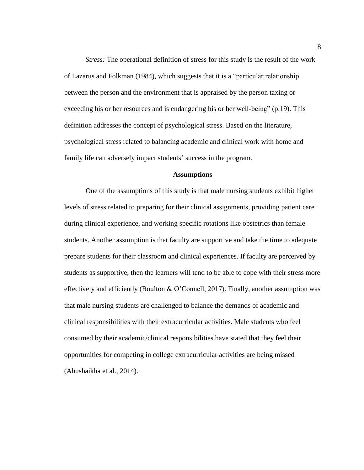*Stress:* The operational definition of stress for this study is the result of the work of Lazarus and Folkman (1984), which suggests that it is a "particular relationship between the person and the environment that is appraised by the person taxing or exceeding his or her resources and is endangering his or her well-being" (p.19). This definition addresses the concept of psychological stress. Based on the literature, psychological stress related to balancing academic and clinical work with home and family life can adversely impact students' success in the program.

#### **Assumptions**

<span id="page-20-0"></span>One of the assumptions of this study is that male nursing students exhibit higher levels of stress related to preparing for their clinical assignments, providing patient care during clinical experience, and working specific rotations like obstetrics than female students. Another assumption is that faculty are supportive and take the time to adequate prepare students for their classroom and clinical experiences. If faculty are perceived by students as supportive, then the learners will tend to be able to cope with their stress more effectively and efficiently (Boulton & O'Connell, 2017). Finally, another assumption was that male nursing students are challenged to balance the demands of academic and clinical responsibilities with their extracurricular activities. Male students who feel consumed by their academic/clinical responsibilities have stated that they feel their opportunities for competing in college extracurricular activities are being missed (Abushaikha et al., 2014).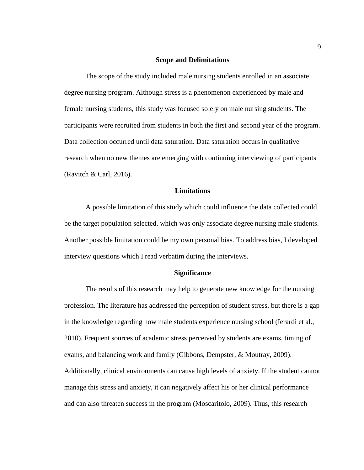#### **Scope and Delimitations**

<span id="page-21-0"></span>The scope of the study included male nursing students enrolled in an associate degree nursing program. Although stress is a phenomenon experienced by male and female nursing students, this study was focused solely on male nursing students. The participants were recruited from students in both the first and second year of the program. Data collection occurred until data saturation. Data saturation occurs in qualitative research when no new themes are emerging with continuing interviewing of participants (Ravitch & Carl, 2016).

#### **Limitations**

<span id="page-21-1"></span>A possible limitation of this study which could influence the data collected could be the target population selected, which was only associate degree nursing male students. Another possible limitation could be my own personal bias. To address bias, I developed interview questions which I read verbatim during the interviews.

#### **Significance**

<span id="page-21-2"></span>The results of this research may help to generate new knowledge for the nursing profession. The literature has addressed the perception of student stress, but there is a gap in the knowledge regarding how male students experience nursing school (Ierardi et al., 2010). Frequent sources of academic stress perceived by students are exams, timing of exams, and balancing work and family (Gibbons, Dempster, & Moutray, 2009). Additionally, clinical environments can cause high levels of anxiety. If the student cannot manage this stress and anxiety, it can negatively affect his or her clinical performance and can also threaten success in the program (Moscaritolo, 2009). Thus, this research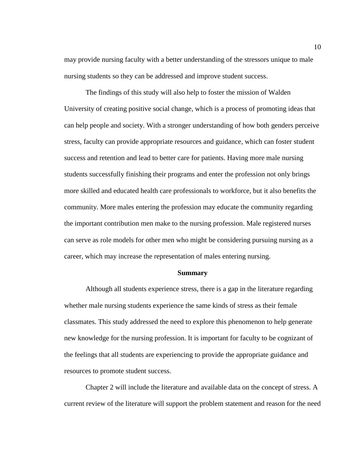may provide nursing faculty with a better understanding of the stressors unique to male nursing students so they can be addressed and improve student success.

The findings of this study will also help to foster the mission of Walden University of creating positive social change, which is a process of promoting ideas that can help people and society. With a stronger understanding of how both genders perceive stress, faculty can provide appropriate resources and guidance, which can foster student success and retention and lead to better care for patients. Having more male nursing students successfully finishing their programs and enter the profession not only brings more skilled and educated health care professionals to workforce, but it also benefits the community. More males entering the profession may educate the community regarding the important contribution men make to the nursing profession. Male registered nurses can serve as role models for other men who might be considering pursuing nursing as a career, which may increase the representation of males entering nursing.

#### **Summary**

<span id="page-22-0"></span>Although all students experience stress, there is a gap in the literature regarding whether male nursing students experience the same kinds of stress as their female classmates. This study addressed the need to explore this phenomenon to help generate new knowledge for the nursing profession. It is important for faculty to be cognizant of the feelings that all students are experiencing to provide the appropriate guidance and resources to promote student success.

Chapter 2 will include the literature and available data on the concept of stress. A current review of the literature will support the problem statement and reason for the need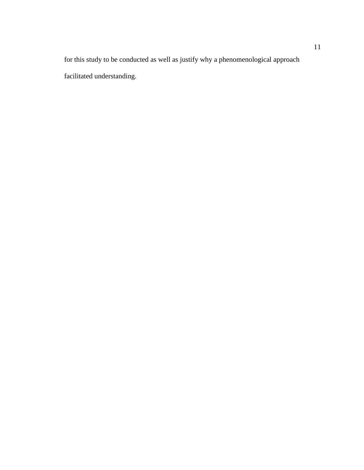for this study to be conducted as well as justify why a phenomenological approach facilitated understanding.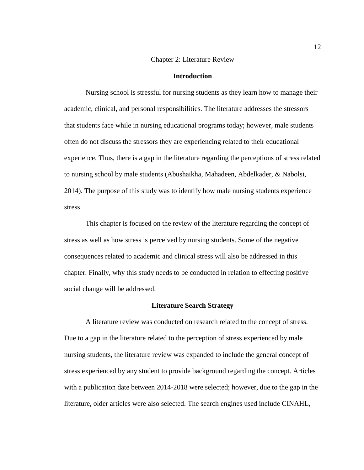#### Chapter 2: Literature Review

#### **Introduction**

<span id="page-24-1"></span><span id="page-24-0"></span>Nursing school is stressful for nursing students as they learn how to manage their academic, clinical, and personal responsibilities. The literature addresses the stressors that students face while in nursing educational programs today; however, male students often do not discuss the stressors they are experiencing related to their educational experience. Thus, there is a gap in the literature regarding the perceptions of stress related to nursing school by male students (Abushaikha, Mahadeen, Abdelkader, & Nabolsi, 2014). The purpose of this study was to identify how male nursing students experience stress.

This chapter is focused on the review of the literature regarding the concept of stress as well as how stress is perceived by nursing students. Some of the negative consequences related to academic and clinical stress will also be addressed in this chapter. Finally, why this study needs to be conducted in relation to effecting positive social change will be addressed.

#### **Literature Search Strategy**

<span id="page-24-2"></span>A literature review was conducted on research related to the concept of stress. Due to a gap in the literature related to the perception of stress experienced by male nursing students, the literature review was expanded to include the general concept of stress experienced by any student to provide background regarding the concept. Articles with a publication date between 2014-2018 were selected; however, due to the gap in the literature, older articles were also selected. The search engines used include CINAHL,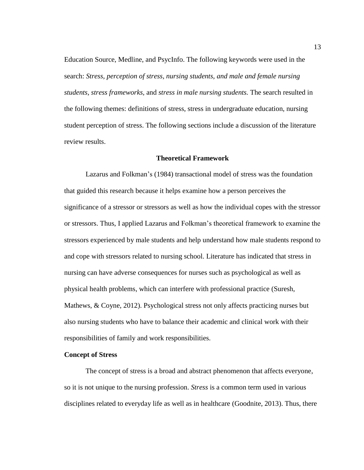Education Source, Medline, and PsycInfo. The following keywords were used in the search: *Stress, perception of stress, nursing students, and male and female nursing students, stress frameworks,* and *stress in male nursing students.* The search resulted in the following themes: definitions of stress, stress in undergraduate education, nursing student perception of stress. The following sections include a discussion of the literature review results.

#### **Theoretical Framework**

<span id="page-25-0"></span>Lazarus and Folkman's (1984) transactional model of stress was the foundation that guided this research because it helps examine how a person perceives the significance of a stressor or stressors as well as how the individual copes with the stressor or stressors. Thus, I applied Lazarus and Folkman's theoretical framework to examine the stressors experienced by male students and help understand how male students respond to and cope with stressors related to nursing school. Literature has indicated that stress in nursing can have adverse consequences for nurses such as psychological as well as physical health problems, which can interfere with professional practice (Suresh, Mathews, & Coyne, 2012). Psychological stress not only affects practicing nurses but also nursing students who have to balance their academic and clinical work with their responsibilities of family and work responsibilities.

#### <span id="page-25-1"></span>**Concept of Stress**

The concept of stress is a broad and abstract phenomenon that affects everyone, so it is not unique to the nursing profession. *Stress* is a common term used in various disciplines related to everyday life as well as in healthcare (Goodnite, 2013). Thus, there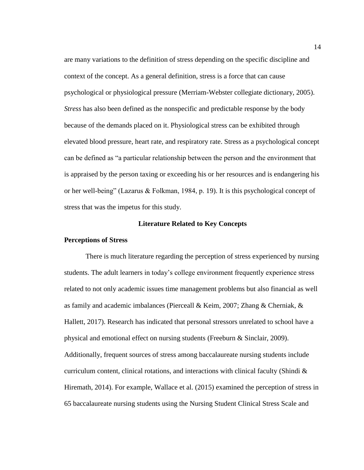are many variations to the definition of stress depending on the specific discipline and context of the concept. As a general definition, stress is a force that can cause psychological or physiological pressure (Merriam-Webster collegiate dictionary, 2005). *Stress* has also been defined as the nonspecific and predictable response by the body because of the demands placed on it. Physiological stress can be exhibited through elevated blood pressure, heart rate, and respiratory rate. Stress as a psychological concept can be defined as "a particular relationship between the person and the environment that is appraised by the person taxing or exceeding his or her resources and is endangering his or her well-being" (Lazarus & Folkman, 1984, p. 19). It is this psychological concept of stress that was the impetus for this study.

#### **Literature Related to Key Concepts**

#### <span id="page-26-1"></span><span id="page-26-0"></span>**Perceptions of Stress**

There is much literature regarding the perception of stress experienced by nursing students. The adult learners in today's college environment frequently experience stress related to not only academic issues time management problems but also financial as well as family and academic imbalances (Pierceall & Keim, 2007; Zhang & Cherniak, & Hallett, 2017). Research has indicated that personal stressors unrelated to school have a physical and emotional effect on nursing students (Freeburn & Sinclair, 2009). Additionally, frequent sources of stress among baccalaureate nursing students include curriculum content, clinical rotations, and interactions with clinical faculty (Shindi  $\&$ Hiremath, 2014). For example, Wallace et al. (2015) examined the perception of stress in 65 baccalaureate nursing students using the Nursing Student Clinical Stress Scale and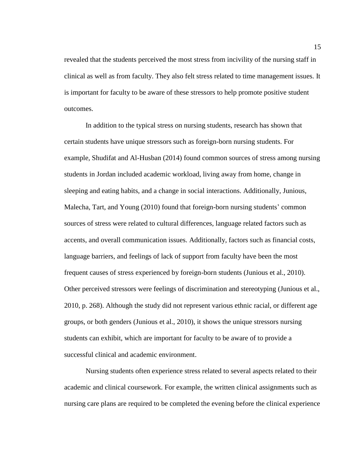revealed that the students perceived the most stress from incivility of the nursing staff in clinical as well as from faculty. They also felt stress related to time management issues. It is important for faculty to be aware of these stressors to help promote positive student outcomes.

In addition to the typical stress on nursing students, research has shown that certain students have unique stressors such as foreign-born nursing students. For example, Shudifat and Al-Husban (2014) found common sources of stress among nursing students in Jordan included academic workload, living away from home, change in sleeping and eating habits, and a change in social interactions. Additionally, Junious, Malecha, Tart, and Young (2010) found that foreign-born nursing students' common sources of stress were related to cultural differences, language related factors such as accents, and overall communication issues. Additionally, factors such as financial costs, language barriers, and feelings of lack of support from faculty have been the most frequent causes of stress experienced by foreign-born students (Junious et al., 2010). Other perceived stressors were feelings of discrimination and stereotyping (Junious et al., 2010, p. 268). Although the study did not represent various ethnic racial, or different age groups, or both genders (Junious et al., 2010), it shows the unique stressors nursing students can exhibit, which are important for faculty to be aware of to provide a successful clinical and academic environment.

Nursing students often experience stress related to several aspects related to their academic and clinical coursework. For example, the written clinical assignments such as nursing care plans are required to be completed the evening before the clinical experience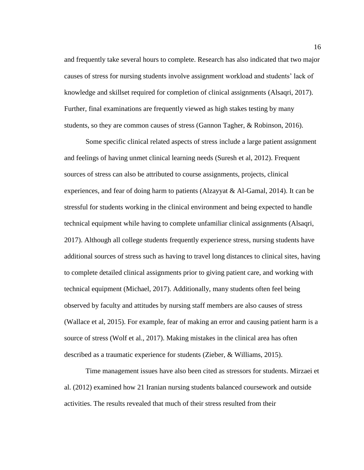and frequently take several hours to complete. Research has also indicated that two major causes of stress for nursing students involve assignment workload and students' lack of knowledge and skillset required for completion of clinical assignments (Alsaqri, 2017). Further, final examinations are frequently viewed as high stakes testing by many students, so they are common causes of stress (Gannon Tagher, & Robinson, 2016).

Some specific clinical related aspects of stress include a large patient assignment and feelings of having unmet clinical learning needs (Suresh et al, 2012). Frequent sources of stress can also be attributed to course assignments, projects, clinical experiences, and fear of doing harm to patients (Alzayyat & Al-Gamal, 2014). It can be stressful for students working in the clinical environment and being expected to handle technical equipment while having to complete unfamiliar clinical assignments (Alsaqri, 2017). Although all college students frequently experience stress, nursing students have additional sources of stress such as having to travel long distances to clinical sites, having to complete detailed clinical assignments prior to giving patient care, and working with technical equipment (Michael, 2017). Additionally, many students often feel being observed by faculty and attitudes by nursing staff members are also causes of stress (Wallace et al, 2015). For example, fear of making an error and causing patient harm is a source of stress (Wolf et al., 2017). Making mistakes in the clinical area has often described as a traumatic experience for students (Zieber, & Williams, 2015).

Time management issues have also been cited as stressors for students. Mirzaei et al. (2012) examined how 21 Iranian nursing students balanced coursework and outside activities. The results revealed that much of their stress resulted from their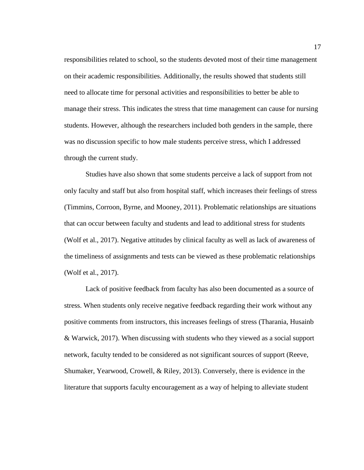responsibilities related to school, so the students devoted most of their time management on their academic responsibilities. Additionally, the results showed that students still need to allocate time for personal activities and responsibilities to better be able to manage their stress. This indicates the stress that time management can cause for nursing students. However, although the researchers included both genders in the sample, there was no discussion specific to how male students perceive stress, which I addressed through the current study.

Studies have also shown that some students perceive a lack of support from not only faculty and staff but also from hospital staff, which increases their feelings of stress (Timmins, Corroon, Byrne, and Mooney, 2011). Problematic relationships are situations that can occur between faculty and students and lead to additional stress for students (Wolf et al., 2017). Negative attitudes by clinical faculty as well as lack of awareness of the timeliness of assignments and tests can be viewed as these problematic relationships (Wolf et al., 2017).

Lack of positive feedback from faculty has also been documented as a source of stress. When students only receive negative feedback regarding their work without any positive comments from instructors, this increases feelings of stress (Tharania, Husainb & Warwick, 2017). When discussing with students who they viewed as a social support network, faculty tended to be considered as not significant sources of support (Reeve, Shumaker, Yearwood, Crowell, & Riley, 2013). Conversely, there is evidence in the literature that supports faculty encouragement as a way of helping to alleviate student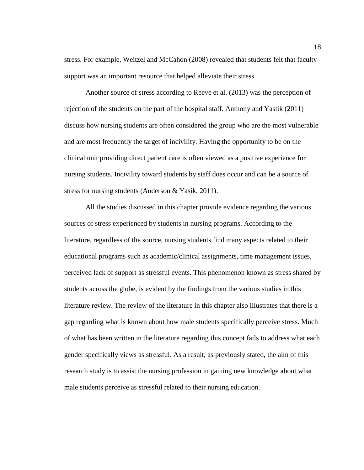stress. For example, Weitzel and McCahon (2008) revealed that students felt that faculty support was an important resource that helped alleviate their stress.

Another source of stress according to Reeve et al. (2013) was the perception of rejection of the students on the part of the hospital staff. Anthony and Yastik (2011) discuss how nursing students are often considered the group who are the most vulnerable and are most frequently the target of incivility. Having the opportunity to be on the clinical unit providing direct patient care is often viewed as a positive experience for nursing students. Incivility toward students by staff does occur and can be a source of stress for nursing students (Anderson & Yasik, 2011).

All the studies discussed in this chapter provide evidence regarding the various sources of stress experienced by students in nursing programs. According to the literature, regardless of the source, nursing students find many aspects related to their educational programs such as academic/clinical assignments, time management issues, perceived lack of support as stressful events. This phenomenon known as stress shared by students across the globe, is evident by the findings from the various studies in this literature review. The review of the literature in this chapter also illustrates that there is a gap regarding what is known about how male students specifically perceive stress. Much of what has been written in the literature regarding this concept fails to address what each gender specifically views as stressful. As a result, as previously stated, the aim of this research study is to assist the nursing profession in gaining new knowledge about what male students perceive as stressful related to their nursing education.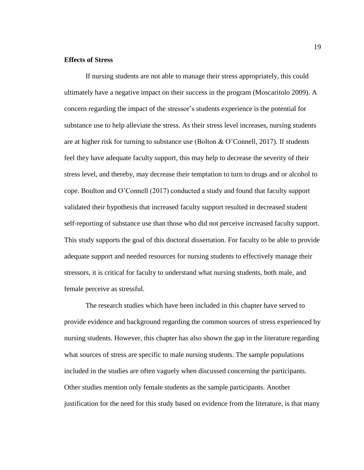#### <span id="page-31-0"></span>**Effects of Stress**

If nursing students are not able to manage their stress appropriately, this could ultimately have a negative impact on their success in the program (Moscaritolo 2009). A concern regarding the impact of the stressor's students experience is the potential for substance use to help alleviate the stress. As their stress level increases, nursing students are at higher risk for turning to substance use (Bolton & O'Connell, 2017). If students feel they have adequate faculty support, this may help to decrease the severity of their stress level, and thereby, may decrease their temptation to turn to drugs and or alcohol to cope. Boulton and O'Connell (2017) conducted a study and found that faculty support validated their hypothesis that increased faculty support resulted in decreased student self-reporting of substance use than those who did not perceive increased faculty support. This study supports the goal of this doctoral dissertation. For faculty to be able to provide adequate support and needed resources for nursing students to effectively manage their stressors, it is critical for faculty to understand what nursing students, both male, and female perceive as stressful.

The research studies which have been included in this chapter have served to provide evidence and background regarding the common sources of stress experienced by nursing students. However, this chapter has also shown the gap in the literature regarding what sources of stress are specific to male nursing students. The sample populations included in the studies are often vaguely when discussed concerning the participants. Other studies mention only female students as the sample participants. Another justification for the need for this study based on evidence from the literature, is that many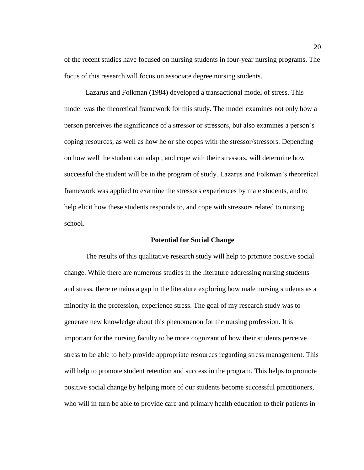of the recent studies have focused on nursing students in four-year nursing programs. The focus of this research will focus on associate degree nursing students.

Lazarus and Folkman (1984) developed a transactional model of stress. This model was the theoretical framework for this study. The model examines not only how a person perceives the significance of a stressor or stressors, but also examines a person's coping resources, as well as how he or she copes with the stressor/stressors. Depending on how well the student can adapt, and cope with their stressors, will determine how successful the student will be in the program of study. Lazarus and Folkman's theoretical framework was applied to examine the stressors experiences by male students, and to help elicit how these students responds to, and cope with stressors related to nursing school.

#### **Potential for Social Change**

<span id="page-32-0"></span>The results of this qualitative research study will help to promote positive social change. While there are numerous studies in the literature addressing nursing students and stress, there remains a gap in the literature exploring how male nursing students as a minority in the profession, experience stress. The goal of my research study was to generate new knowledge about this phenomenon for the nursing profession. It is important for the nursing faculty to be more cognizant of how their students perceive stress to be able to help provide appropriate resources regarding stress management. This will help to promote student retention and success in the program. This helps to promote positive social change by helping more of our students become successful practitioners, who will in turn be able to provide care and primary health education to their patients in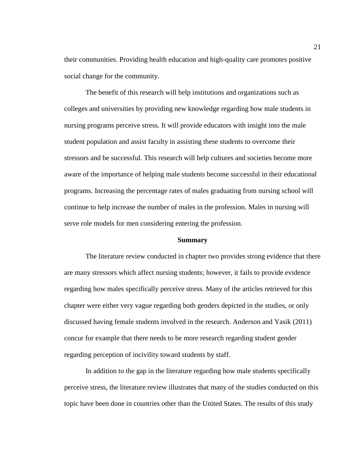their communities. Providing health education and high-quality care promotes positive social change for the community.

The benefit of this research will help institutions and organizations such as colleges and universities by providing new knowledge regarding how male students in nursing programs perceive stress. It will provide educators with insight into the male student population and assist faculty in assisting these students to overcome their stressors and be successful. This research will help cultures and societies become more aware of the importance of helping male students become successful in their educational programs. Increasing the percentage rates of males graduating from nursing school will continue to help increase the number of males in the profession. Males in nursing will serve role models for men considering entering the profession.

#### **Summary**

<span id="page-33-0"></span>The literature review conducted in chapter two provides strong evidence that there are many stressors which affect nursing students; however, it fails to provide evidence regarding how males specifically perceive stress. Many of the articles retrieved for this chapter were either very vague regarding both genders depicted in the studies, or only discussed having female students involved in the research. Anderson and Yasik (2011) concur for example that there needs to be more research regarding student gender regarding perception of incivility toward students by staff.

In addition to the gap in the literature regarding how male students specifically perceive stress, the literature review illustrates that many of the studies conducted on this topic have been done in countries other than the United States. The results of this study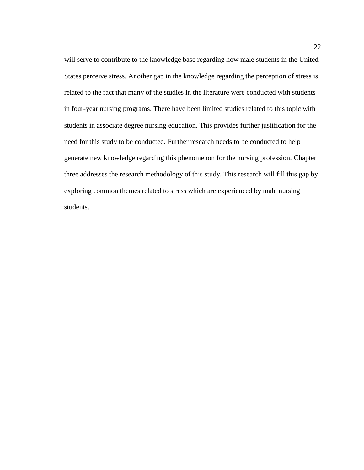will serve to contribute to the knowledge base regarding how male students in the United States perceive stress. Another gap in the knowledge regarding the perception of stress is related to the fact that many of the studies in the literature were conducted with students in four-year nursing programs. There have been limited studies related to this topic with students in associate degree nursing education. This provides further justification for the need for this study to be conducted. Further research needs to be conducted to help generate new knowledge regarding this phenomenon for the nursing profession. Chapter three addresses the research methodology of this study. This research will fill this gap by exploring common themes related to stress which are experienced by male nursing students.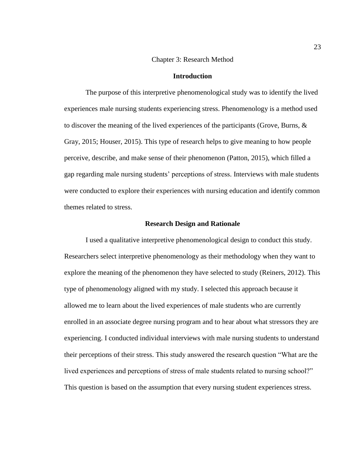#### Chapter 3: Research Method

#### **Introduction**

<span id="page-35-1"></span><span id="page-35-0"></span>The purpose of this interpretive phenomenological study was to identify the lived experiences male nursing students experiencing stress. Phenomenology is a method used to discover the meaning of the lived experiences of the participants (Grove, Burns, & Gray, 2015; Houser, 2015). This type of research helps to give meaning to how people perceive, describe, and make sense of their phenomenon (Patton, 2015), which filled a gap regarding male nursing students' perceptions of stress. Interviews with male students were conducted to explore their experiences with nursing education and identify common themes related to stress.

#### **Research Design and Rationale**

<span id="page-35-2"></span>I used a qualitative interpretive phenomenological design to conduct this study. Researchers select interpretive phenomenology as their methodology when they want to explore the meaning of the phenomenon they have selected to study (Reiners, 2012). This type of phenomenology aligned with my study. I selected this approach because it allowed me to learn about the lived experiences of male students who are currently enrolled in an associate degree nursing program and to hear about what stressors they are experiencing. I conducted individual interviews with male nursing students to understand their perceptions of their stress. This study answered the research question "What are the lived experiences and perceptions of stress of male students related to nursing school?" This question is based on the assumption that every nursing student experiences stress.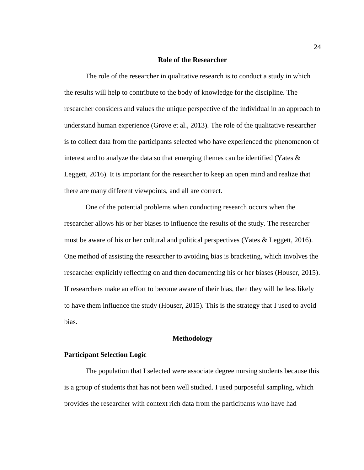## **Role of the Researcher**

The role of the researcher in qualitative research is to conduct a study in which the results will help to contribute to the body of knowledge for the discipline. The researcher considers and values the unique perspective of the individual in an approach to understand human experience (Grove et al., 2013). The role of the qualitative researcher is to collect data from the participants selected who have experienced the phenomenon of interest and to analyze the data so that emerging themes can be identified (Yates  $\&$ Leggett, 2016). It is important for the researcher to keep an open mind and realize that there are many different viewpoints, and all are correct.

One of the potential problems when conducting research occurs when the researcher allows his or her biases to influence the results of the study. The researcher must be aware of his or her cultural and political perspectives (Yates  $&$  Leggett, 2016). One method of assisting the researcher to avoiding bias is bracketing, which involves the researcher explicitly reflecting on and then documenting his or her biases (Houser, 2015). If researchers make an effort to become aware of their bias, then they will be less likely to have them influence the study (Houser, 2015). This is the strategy that I used to avoid bias.

#### **Methodology**

# **Participant Selection Logic**

The population that I selected were associate degree nursing students because this is a group of students that has not been well studied. I used purposeful sampling, which provides the researcher with context rich data from the participants who have had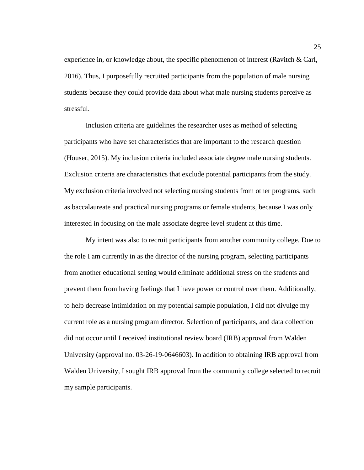experience in, or knowledge about, the specific phenomenon of interest (Ravitch & Carl, 2016). Thus, I purposefully recruited participants from the population of male nursing students because they could provide data about what male nursing students perceive as stressful.

Inclusion criteria are guidelines the researcher uses as method of selecting participants who have set characteristics that are important to the research question (Houser, 2015). My inclusion criteria included associate degree male nursing students. Exclusion criteria are characteristics that exclude potential participants from the study. My exclusion criteria involved not selecting nursing students from other programs, such as baccalaureate and practical nursing programs or female students, because I was only interested in focusing on the male associate degree level student at this time.

My intent was also to recruit participants from another community college. Due to the role I am currently in as the director of the nursing program, selecting participants from another educational setting would eliminate additional stress on the students and prevent them from having feelings that I have power or control over them. Additionally, to help decrease intimidation on my potential sample population, I did not divulge my current role as a nursing program director. Selection of participants, and data collection did not occur until I received institutional review board (IRB) approval from Walden University (approval no. 03-26-19-0646603). In addition to obtaining IRB approval from Walden University, I sought IRB approval from the community college selected to recruit my sample participants.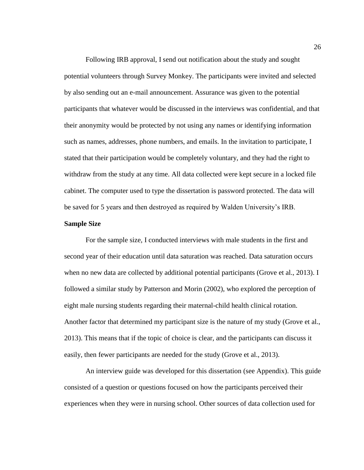Following IRB approval, I send out notification about the study and sought potential volunteers through Survey Monkey. The participants were invited and selected by also sending out an e-mail announcement. Assurance was given to the potential participants that whatever would be discussed in the interviews was confidential, and that their anonymity would be protected by not using any names or identifying information such as names, addresses, phone numbers, and emails. In the invitation to participate, I stated that their participation would be completely voluntary, and they had the right to withdraw from the study at any time. All data collected were kept secure in a locked file cabinet. The computer used to type the dissertation is password protected. The data will be saved for 5 years and then destroyed as required by Walden University's IRB.

#### **Sample Size**

For the sample size, I conducted interviews with male students in the first and second year of their education until data saturation was reached. Data saturation occurs when no new data are collected by additional potential participants (Grove et al., 2013). I followed a similar study by Patterson and Morin (2002), who explored the perception of eight male nursing students regarding their maternal-child health clinical rotation. Another factor that determined my participant size is the nature of my study (Grove et al., 2013). This means that if the topic of choice is clear, and the participants can discuss it easily, then fewer participants are needed for the study (Grove et al., 2013).

An interview guide was developed for this dissertation (see Appendix). This guide consisted of a question or questions focused on how the participants perceived their experiences when they were in nursing school. Other sources of data collection used for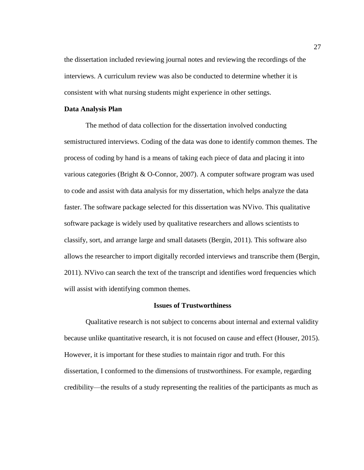the dissertation included reviewing journal notes and reviewing the recordings of the interviews. A curriculum review was also be conducted to determine whether it is consistent with what nursing students might experience in other settings.

# **Data Analysis Plan**

The method of data collection for the dissertation involved conducting semistructured interviews. Coding of the data was done to identify common themes. The process of coding by hand is a means of taking each piece of data and placing it into various categories (Bright & O-Connor, 2007). A computer software program was used to code and assist with data analysis for my dissertation, which helps analyze the data faster. The software package selected for this dissertation was NVivo. This qualitative software package is widely used by qualitative researchers and allows scientists to classify, sort, and arrange large and small datasets (Bergin, 2011). This software also allows the researcher to import digitally recorded interviews and transcribe them (Bergin, 2011). NVivo can search the text of the transcript and identifies word frequencies which will assist with identifying common themes.

## **Issues of Trustworthiness**

Qualitative research is not subject to concerns about internal and external validity because unlike quantitative research, it is not focused on cause and effect (Houser, 2015). However, it is important for these studies to maintain rigor and truth. For this dissertation, I conformed to the dimensions of trustworthiness. For example, regarding credibility—the results of a study representing the realities of the participants as much as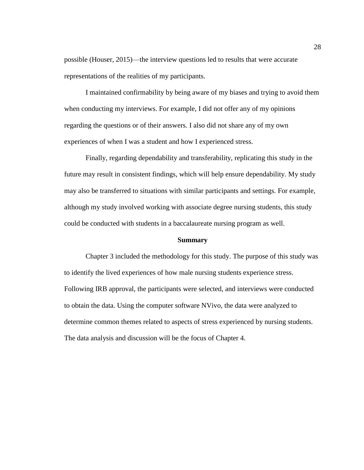possible (Houser, 2015)—the interview questions led to results that were accurate representations of the realities of my participants.

I maintained confirmability by being aware of my biases and trying to avoid them when conducting my interviews. For example, I did not offer any of my opinions regarding the questions or of their answers. I also did not share any of my own experiences of when I was a student and how I experienced stress.

Finally, regarding dependability and transferability, replicating this study in the future may result in consistent findings, which will help ensure dependability. My study may also be transferred to situations with similar participants and settings. For example, although my study involved working with associate degree nursing students, this study could be conducted with students in a baccalaureate nursing program as well.

# **Summary**

Chapter 3 included the methodology for this study. The purpose of this study was to identify the lived experiences of how male nursing students experience stress. Following IRB approval, the participants were selected, and interviews were conducted to obtain the data. Using the computer software NVivo, the data were analyzed to determine common themes related to aspects of stress experienced by nursing students. The data analysis and discussion will be the focus of Chapter 4.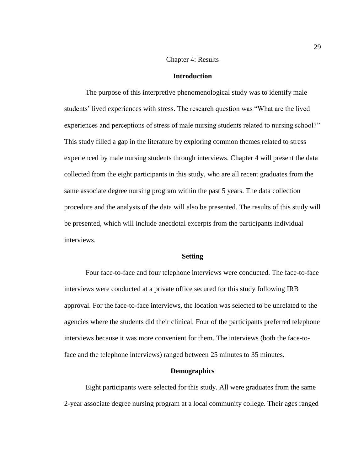#### Chapter 4: Results

## **Introduction**

The purpose of this interpretive phenomenological study was to identify male students' lived experiences with stress. The research question was "What are the lived experiences and perceptions of stress of male nursing students related to nursing school?" This study filled a gap in the literature by exploring common themes related to stress experienced by male nursing students through interviews. Chapter 4 will present the data collected from the eight participants in this study, who are all recent graduates from the same associate degree nursing program within the past 5 years. The data collection procedure and the analysis of the data will also be presented. The results of this study will be presented, which will include anecdotal excerpts from the participants individual interviews.

## **Setting**

Four face-to-face and four telephone interviews were conducted. The face-to-face interviews were conducted at a private office secured for this study following IRB approval. For the face-to-face interviews, the location was selected to be unrelated to the agencies where the students did their clinical. Four of the participants preferred telephone interviews because it was more convenient for them. The interviews (both the face-toface and the telephone interviews) ranged between 25 minutes to 35 minutes.

#### **Demographics**

Eight participants were selected for this study. All were graduates from the same 2-year associate degree nursing program at a local community college. Their ages ranged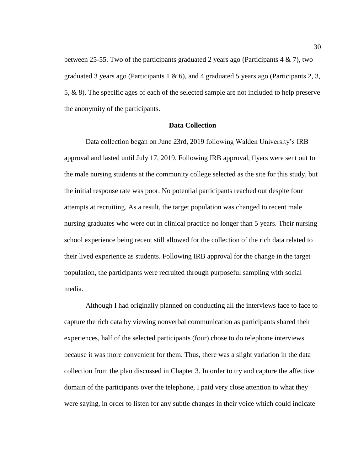between 25-55. Two of the participants graduated 2 years ago (Participants  $4 \& 7$ ), two graduated 3 years ago (Participants 1 & 6), and 4 graduated 5 years ago (Participants 2, 3, 5, & 8). The specific ages of each of the selected sample are not included to help preserve the anonymity of the participants.

## **Data Collection**

Data collection began on June 23rd, 2019 following Walden University's IRB approval and lasted until July 17, 2019. Following IRB approval, flyers were sent out to the male nursing students at the community college selected as the site for this study, but the initial response rate was poor. No potential participants reached out despite four attempts at recruiting. As a result, the target population was changed to recent male nursing graduates who were out in clinical practice no longer than 5 years. Their nursing school experience being recent still allowed for the collection of the rich data related to their lived experience as students. Following IRB approval for the change in the target population, the participants were recruited through purposeful sampling with social media.

Although I had originally planned on conducting all the interviews face to face to capture the rich data by viewing nonverbal communication as participants shared their experiences, half of the selected participants (four) chose to do telephone interviews because it was more convenient for them. Thus, there was a slight variation in the data collection from the plan discussed in Chapter 3. In order to try and capture the affective domain of the participants over the telephone, I paid very close attention to what they were saying, in order to listen for any subtle changes in their voice which could indicate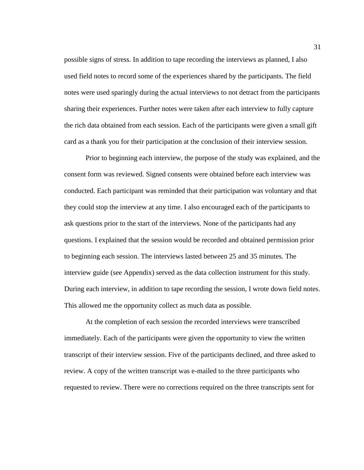possible signs of stress. In addition to tape recording the interviews as planned, I also used field notes to record some of the experiences shared by the participants. The field notes were used sparingly during the actual interviews to not detract from the participants sharing their experiences. Further notes were taken after each interview to fully capture the rich data obtained from each session. Each of the participants were given a small gift card as a thank you for their participation at the conclusion of their interview session.

Prior to beginning each interview, the purpose of the study was explained, and the consent form was reviewed. Signed consents were obtained before each interview was conducted. Each participant was reminded that their participation was voluntary and that they could stop the interview at any time. I also encouraged each of the participants to ask questions prior to the start of the interviews. None of the participants had any questions. I explained that the session would be recorded and obtained permission prior to beginning each session. The interviews lasted between 25 and 35 minutes. The interview guide (see Appendix) served as the data collection instrument for this study. During each interview, in addition to tape recording the session, I wrote down field notes. This allowed me the opportunity collect as much data as possible.

At the completion of each session the recorded interviews were transcribed immediately. Each of the participants were given the opportunity to view the written transcript of their interview session. Five of the participants declined, and three asked to review. A copy of the written transcript was e-mailed to the three participants who requested to review. There were no corrections required on the three transcripts sent for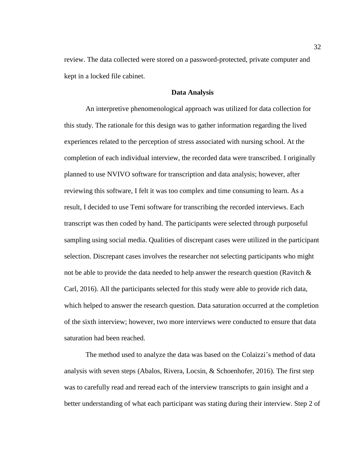review. The data collected were stored on a password-protected, private computer and kept in a locked file cabinet.

## **Data Analysis**

An interpretive phenomenological approach was utilized for data collection for this study. The rationale for this design was to gather information regarding the lived experiences related to the perception of stress associated with nursing school. At the completion of each individual interview, the recorded data were transcribed. I originally planned to use NVIVO software for transcription and data analysis; however, after reviewing this software, I felt it was too complex and time consuming to learn. As a result, I decided to use Temi software for transcribing the recorded interviews. Each transcript was then coded by hand. The participants were selected through purposeful sampling using social media. Qualities of discrepant cases were utilized in the participant selection. Discrepant cases involves the researcher not selecting participants who might not be able to provide the data needed to help answer the research question (Ravitch  $\&$ Carl, 2016). All the participants selected for this study were able to provide rich data, which helped to answer the research question. Data saturation occurred at the completion of the sixth interview; however, two more interviews were conducted to ensure that data saturation had been reached.

The method used to analyze the data was based on the Colaizzi's method of data analysis with seven steps (Abalos, Rivera, Locsin, & Schoenhofer, 2016). The first step was to carefully read and reread each of the interview transcripts to gain insight and a better understanding of what each participant was stating during their interview. Step 2 of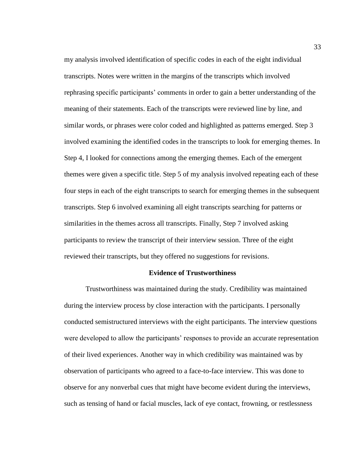my analysis involved identification of specific codes in each of the eight individual transcripts. Notes were written in the margins of the transcripts which involved rephrasing specific participants' comments in order to gain a better understanding of the meaning of their statements. Each of the transcripts were reviewed line by line, and similar words, or phrases were color coded and highlighted as patterns emerged. Step 3 involved examining the identified codes in the transcripts to look for emerging themes. In Step 4, I looked for connections among the emerging themes. Each of the emergent themes were given a specific title. Step 5 of my analysis involved repeating each of these four steps in each of the eight transcripts to search for emerging themes in the subsequent transcripts. Step 6 involved examining all eight transcripts searching for patterns or similarities in the themes across all transcripts. Finally, Step 7 involved asking participants to review the transcript of their interview session. Three of the eight reviewed their transcripts, but they offered no suggestions for revisions.

#### **Evidence of Trustworthiness**

Trustworthiness was maintained during the study. Credibility was maintained during the interview process by close interaction with the participants. I personally conducted semistructured interviews with the eight participants. The interview questions were developed to allow the participants' responses to provide an accurate representation of their lived experiences. Another way in which credibility was maintained was by observation of participants who agreed to a face-to-face interview. This was done to observe for any nonverbal cues that might have become evident during the interviews, such as tensing of hand or facial muscles, lack of eye contact, frowning, or restlessness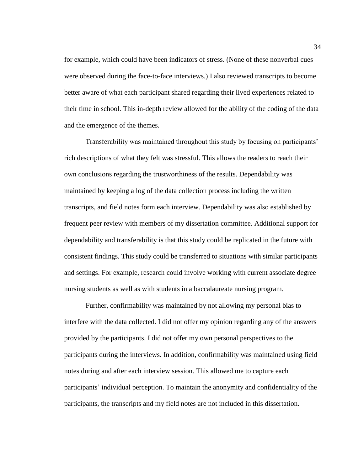for example, which could have been indicators of stress. (None of these nonverbal cues were observed during the face-to-face interviews.) I also reviewed transcripts to become better aware of what each participant shared regarding their lived experiences related to their time in school. This in-depth review allowed for the ability of the coding of the data and the emergence of the themes.

Transferability was maintained throughout this study by focusing on participants' rich descriptions of what they felt was stressful. This allows the readers to reach their own conclusions regarding the trustworthiness of the results. Dependability was maintained by keeping a log of the data collection process including the written transcripts, and field notes form each interview. Dependability was also established by frequent peer review with members of my dissertation committee. Additional support for dependability and transferability is that this study could be replicated in the future with consistent findings. This study could be transferred to situations with similar participants and settings. For example, research could involve working with current associate degree nursing students as well as with students in a baccalaureate nursing program.

Further, confirmability was maintained by not allowing my personal bias to interfere with the data collected. I did not offer my opinion regarding any of the answers provided by the participants. I did not offer my own personal perspectives to the participants during the interviews. In addition, confirmability was maintained using field notes during and after each interview session. This allowed me to capture each participants' individual perception. To maintain the anonymity and confidentiality of the participants, the transcripts and my field notes are not included in this dissertation.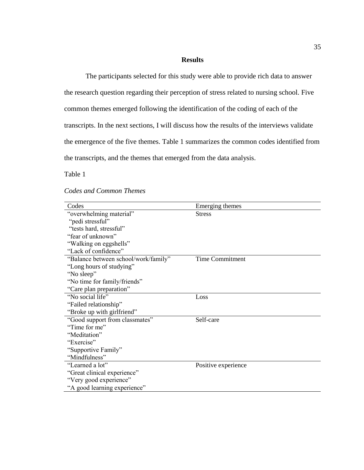# **Results**

The participants selected for this study were able to provide rich data to answer the research question regarding their perception of stress related to nursing school. Five common themes emerged following the identification of the coding of each of the transcripts. In the next sections, I will discuss how the results of the interviews validate the emergence of the five themes. Table 1 summarizes the common codes identified from the transcripts, and the themes that emerged from the data analysis.

Table 1

| Codes                                | Emerging themes        |
|--------------------------------------|------------------------|
| "overwhelming material"              | <b>Stress</b>          |
| "pedi stressful"                     |                        |
| "tests hard, stressful"              |                        |
| "fear of unknown"                    |                        |
| "Walking on eggshells"               |                        |
| "Lack of confidence"                 |                        |
| "Balance between school/work/family" | <b>Time Commitment</b> |
| "Long hours of studying"             |                        |
| "No sleep"                           |                        |
| "No time for family/friends"         |                        |
| "Care plan preparation"              |                        |
| "No social life"                     | Loss                   |
| "Failed relationship"                |                        |
| "Broke up with girlfriend"           |                        |
| "Good support from classmates"       | Self-care              |
| "Time for me"                        |                        |
| "Meditation"                         |                        |
| "Exercise"                           |                        |
| "Supportive Family"                  |                        |
| "Mindfulness"                        |                        |
| "Learned a lot"                      | Positive experience    |
| "Great clinical experience"          |                        |
| "Very good experience"               |                        |
| "A good learning experience"         |                        |

# *Codes and Common Themes*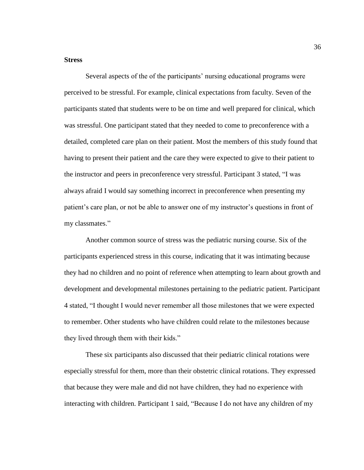# **Stress**

Several aspects of the of the participants' nursing educational programs were perceived to be stressful. For example, clinical expectations from faculty. Seven of the participants stated that students were to be on time and well prepared for clinical, which was stressful. One participant stated that they needed to come to preconference with a detailed, completed care plan on their patient. Most the members of this study found that having to present their patient and the care they were expected to give to their patient to the instructor and peers in preconference very stressful. Participant 3 stated, "I was always afraid I would say something incorrect in preconference when presenting my patient's care plan, or not be able to answer one of my instructor's questions in front of my classmates."

Another common source of stress was the pediatric nursing course. Six of the participants experienced stress in this course, indicating that it was intimating because they had no children and no point of reference when attempting to learn about growth and development and developmental milestones pertaining to the pediatric patient. Participant 4 stated, "I thought I would never remember all those milestones that we were expected to remember. Other students who have children could relate to the milestones because they lived through them with their kids."

These six participants also discussed that their pediatric clinical rotations were especially stressful for them, more than their obstetric clinical rotations. They expressed that because they were male and did not have children, they had no experience with interacting with children. Participant 1 said, "Because I do not have any children of my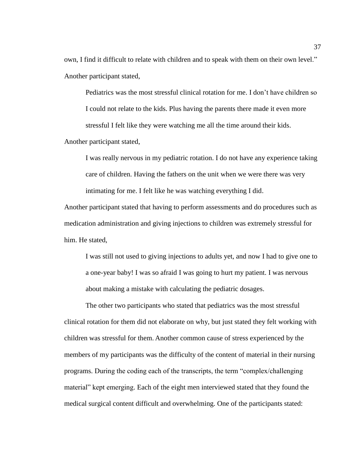own, I find it difficult to relate with children and to speak with them on their own level." Another participant stated,

Pediatrics was the most stressful clinical rotation for me. I don't have children so I could not relate to the kids. Plus having the parents there made it even more stressful I felt like they were watching me all the time around their kids. Another participant stated,

I was really nervous in my pediatric rotation. I do not have any experience taking care of children. Having the fathers on the unit when we were there was very intimating for me. I felt like he was watching everything I did.

Another participant stated that having to perform assessments and do procedures such as medication administration and giving injections to children was extremely stressful for him. He stated,

I was still not used to giving injections to adults yet, and now I had to give one to a one-year baby! I was so afraid I was going to hurt my patient. I was nervous about making a mistake with calculating the pediatric dosages.

The other two participants who stated that pediatrics was the most stressful clinical rotation for them did not elaborate on why, but just stated they felt working with children was stressful for them. Another common cause of stress experienced by the members of my participants was the difficulty of the content of material in their nursing programs. During the coding each of the transcripts, the term "complex/challenging material" kept emerging. Each of the eight men interviewed stated that they found the medical surgical content difficult and overwhelming. One of the participants stated: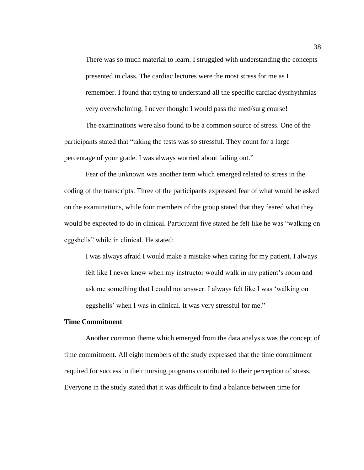There was so much material to learn. I struggled with understanding the concepts presented in class. The cardiac lectures were the most stress for me as I remember. I found that trying to understand all the specific cardiac dysrhythmias very overwhelming. I never thought I would pass the med/surg course!

The examinations were also found to be a common source of stress. One of the participants stated that "taking the tests was so stressful. They count for a large percentage of your grade. I was always worried about failing out."

Fear of the unknown was another term which emerged related to stress in the coding of the transcripts. Three of the participants expressed fear of what would be asked on the examinations, while four members of the group stated that they feared what they would be expected to do in clinical. Participant five stated he felt like he was "walking on eggshells" while in clinical. He stated:

I was always afraid I would make a mistake when caring for my patient. I always felt like I never knew when my instructor would walk in my patient's room and ask me something that I could not answer. I always felt like I was 'walking on eggshells' when I was in clinical. It was very stressful for me."

## **Time Commitment**

Another common theme which emerged from the data analysis was the concept of time commitment. All eight members of the study expressed that the time commitment required for success in their nursing programs contributed to their perception of stress. Everyone in the study stated that it was difficult to find a balance between time for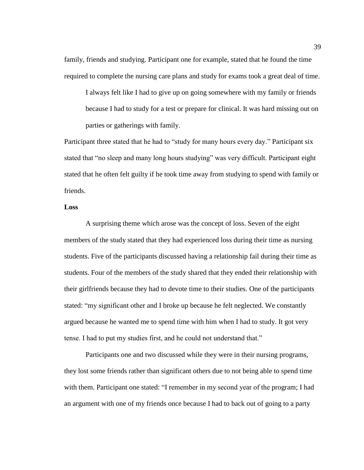family, friends and studying. Participant one for example, stated that he found the time required to complete the nursing care plans and study for exams took a great deal of time.

I always felt like I had to give up on going somewhere with my family or friends because I had to study for a test or prepare for clinical. It was hard missing out on parties or gatherings with family.

Participant three stated that he had to "study for many hours every day." Participant six stated that "no sleep and many long hours studying" was very difficult. Participant eight stated that he often felt guilty if he took time away from studying to spend with family or friends.

# **Loss**

A surprising theme which arose was the concept of loss. Seven of the eight members of the study stated that they had experienced loss during their time as nursing students. Five of the participants discussed having a relationship fail during their time as students. Four of the members of the study shared that they ended their relationship with their girlfriends because they had to devote time to their studies. One of the participants stated: "my significant other and I broke up because he felt neglected. We constantly argued because he wanted me to spend time with him when I had to study. It got very tense. I had to put my studies first, and he could not understand that."

Participants one and two discussed while they were in their nursing programs, they lost some friends rather than significant others due to not being able to spend time with them. Participant one stated: "I remember in my second year of the program; I had an argument with one of my friends once because I had to back out of going to a party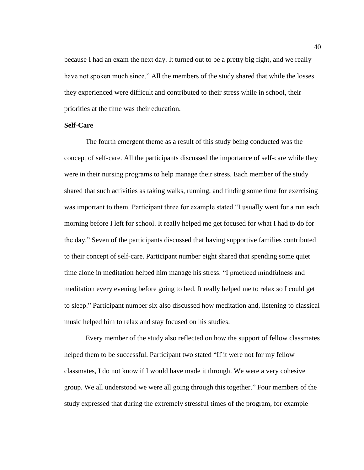because I had an exam the next day. It turned out to be a pretty big fight, and we really have not spoken much since." All the members of the study shared that while the losses they experienced were difficult and contributed to their stress while in school, their priorities at the time was their education.

## **Self-Care**

The fourth emergent theme as a result of this study being conducted was the concept of self-care. All the participants discussed the importance of self-care while they were in their nursing programs to help manage their stress. Each member of the study shared that such activities as taking walks, running, and finding some time for exercising was important to them. Participant three for example stated "I usually went for a run each morning before I left for school. It really helped me get focused for what I had to do for the day." Seven of the participants discussed that having supportive families contributed to their concept of self-care. Participant number eight shared that spending some quiet time alone in meditation helped him manage his stress. "I practiced mindfulness and meditation every evening before going to bed. It really helped me to relax so I could get to sleep." Participant number six also discussed how meditation and, listening to classical music helped him to relax and stay focused on his studies.

Every member of the study also reflected on how the support of fellow classmates helped them to be successful. Participant two stated "If it were not for my fellow classmates, I do not know if I would have made it through. We were a very cohesive group. We all understood we were all going through this together." Four members of the study expressed that during the extremely stressful times of the program, for example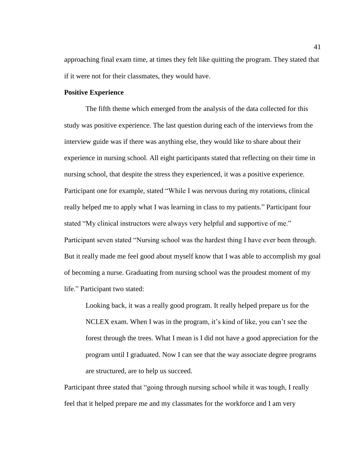approaching final exam time, at times they felt like quitting the program. They stated that if it were not for their classmates, they would have.

# **Positive Experience**

The fifth theme which emerged from the analysis of the data collected for this study was positive experience. The last question during each of the interviews from the interview guide was if there was anything else, they would like to share about their experience in nursing school. All eight participants stated that reflecting on their time in nursing school, that despite the stress they experienced, it was a positive experience. Participant one for example, stated "While I was nervous during my rotations, clinical really helped me to apply what I was learning in class to my patients." Participant four stated "My clinical instructors were always very helpful and supportive of me." Participant seven stated "Nursing school was the hardest thing I have ever been through. But it really made me feel good about myself know that I was able to accomplish my goal of becoming a nurse. Graduating from nursing school was the proudest moment of my life." Participant two stated:

Looking back, it was a really good program. It really helped prepare us for the NCLEX exam. When I was in the program, it's kind of like, you can't see the forest through the trees. What I mean is I did not have a good appreciation for the program until I graduated. Now I can see that the way associate degree programs are structured, are to help us succeed.

Participant three stated that "going through nursing school while it was tough, I really feel that it helped prepare me and my classmates for the workforce and I am very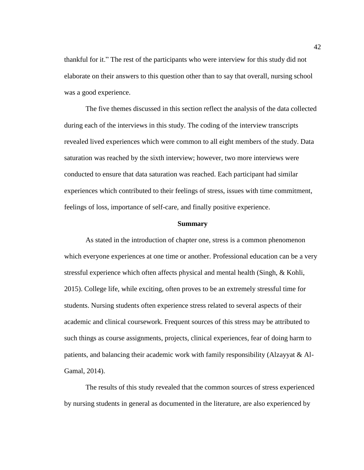thankful for it." The rest of the participants who were interview for this study did not elaborate on their answers to this question other than to say that overall, nursing school was a good experience.

The five themes discussed in this section reflect the analysis of the data collected during each of the interviews in this study. The coding of the interview transcripts revealed lived experiences which were common to all eight members of the study. Data saturation was reached by the sixth interview; however, two more interviews were conducted to ensure that data saturation was reached. Each participant had similar experiences which contributed to their feelings of stress, issues with time commitment, feelings of loss, importance of self-care, and finally positive experience.

#### **Summary**

As stated in the introduction of chapter one, stress is a common phenomenon which everyone experiences at one time or another. Professional education can be a very stressful experience which often affects physical and mental health (Singh, & Kohli, 2015). College life, while exciting, often proves to be an extremely stressful time for students. Nursing students often experience stress related to several aspects of their academic and clinical coursework. Frequent sources of this stress may be attributed to such things as course assignments, projects, clinical experiences, fear of doing harm to patients, and balancing their academic work with family responsibility (Alzayyat & Al-Gamal, 2014).

The results of this study revealed that the common sources of stress experienced by nursing students in general as documented in the literature, are also experienced by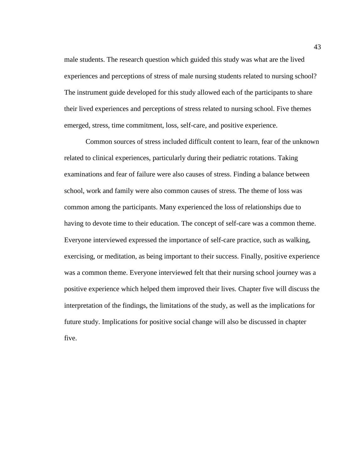male students. The research question which guided this study was what are the lived experiences and perceptions of stress of male nursing students related to nursing school? The instrument guide developed for this study allowed each of the participants to share their lived experiences and perceptions of stress related to nursing school. Five themes emerged, stress, time commitment, loss, self-care, and positive experience.

Common sources of stress included difficult content to learn, fear of the unknown related to clinical experiences, particularly during their pediatric rotations. Taking examinations and fear of failure were also causes of stress. Finding a balance between school, work and family were also common causes of stress. The theme of loss was common among the participants. Many experienced the loss of relationships due to having to devote time to their education. The concept of self-care was a common theme. Everyone interviewed expressed the importance of self-care practice, such as walking, exercising, or meditation, as being important to their success. Finally, positive experience was a common theme. Everyone interviewed felt that their nursing school journey was a positive experience which helped them improved their lives. Chapter five will discuss the interpretation of the findings, the limitations of the study, as well as the implications for future study. Implications for positive social change will also be discussed in chapter five.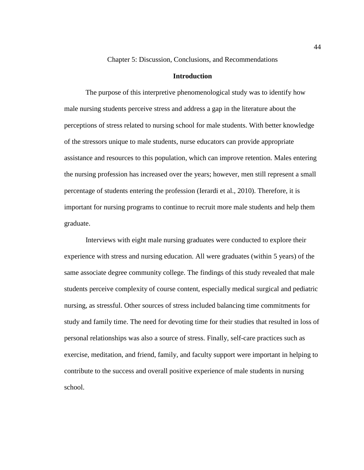Chapter 5: Discussion, Conclusions, and Recommendations

## **Introduction**

The purpose of this interpretive phenomenological study was to identify how male nursing students perceive stress and address a gap in the literature about the perceptions of stress related to nursing school for male students. With better knowledge of the stressors unique to male students, nurse educators can provide appropriate assistance and resources to this population, which can improve retention. Males entering the nursing profession has increased over the years; however, men still represent a small percentage of students entering the profession (Ierardi et al., 2010). Therefore, it is important for nursing programs to continue to recruit more male students and help them graduate.

Interviews with eight male nursing graduates were conducted to explore their experience with stress and nursing education. All were graduates (within 5 years) of the same associate degree community college. The findings of this study revealed that male students perceive complexity of course content, especially medical surgical and pediatric nursing, as stressful. Other sources of stress included balancing time commitments for study and family time. The need for devoting time for their studies that resulted in loss of personal relationships was also a source of stress. Finally, self-care practices such as exercise, meditation, and friend, family, and faculty support were important in helping to contribute to the success and overall positive experience of male students in nursing school.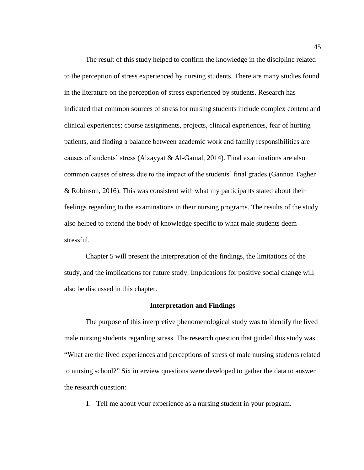The result of this study helped to confirm the knowledge in the discipline related to the perception of stress experienced by nursing students. There are many studies found in the literature on the perception of stress experienced by students. Research has indicated that common sources of stress for nursing students include complex content and clinical experiences; course assignments, projects, clinical experiences, fear of hurting patients, and finding a balance between academic work and family responsibilities are causes of students' stress (Alzayyat & Al-Gamal, 2014). Final examinations are also common causes of stress due to the impact of the students' final grades (Gannon Tagher & Robinson, 2016). This was consistent with what my participants stated about their feelings regarding to the examinations in their nursing programs. The results of the study also helped to extend the body of knowledge specific to what male students deem stressful.

Chapter 5 will present the interpretation of the findings, the limitations of the study, and the implications for future study. Implications for positive social change will also be discussed in this chapter.

# **Interpretation and Findings**

The purpose of this interpretive phenomenological study was to identify the lived male nursing students regarding stress. The research question that guided this study was "What are the lived experiences and perceptions of stress of male nursing students related to nursing school?" Six interview questions were developed to gather the data to answer the research question:

1. Tell me about your experience as a nursing student in your program.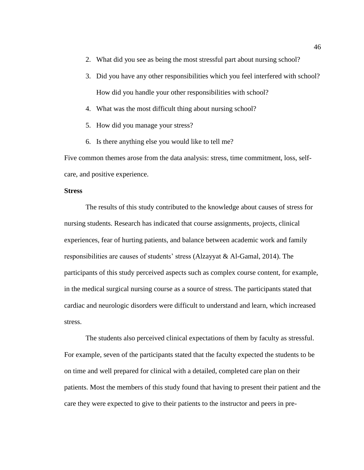- 2. What did you see as being the most stressful part about nursing school?
- 3. Did you have any other responsibilities which you feel interfered with school? How did you handle your other responsibilities with school?
- 4. What was the most difficult thing about nursing school?
- 5. How did you manage your stress?
- 6. Is there anything else you would like to tell me?

Five common themes arose from the data analysis: stress, time commitment, loss, selfcare, and positive experience.

# **Stress**

The results of this study contributed to the knowledge about causes of stress for nursing students. Research has indicated that course assignments, projects, clinical experiences, fear of hurting patients, and balance between academic work and family responsibilities are causes of students' stress (Alzayyat & Al-Gamal, 2014). The participants of this study perceived aspects such as complex course content, for example, in the medical surgical nursing course as a source of stress. The participants stated that cardiac and neurologic disorders were difficult to understand and learn, which increased stress.

The students also perceived clinical expectations of them by faculty as stressful. For example, seven of the participants stated that the faculty expected the students to be on time and well prepared for clinical with a detailed, completed care plan on their patients. Most the members of this study found that having to present their patient and the care they were expected to give to their patients to the instructor and peers in pre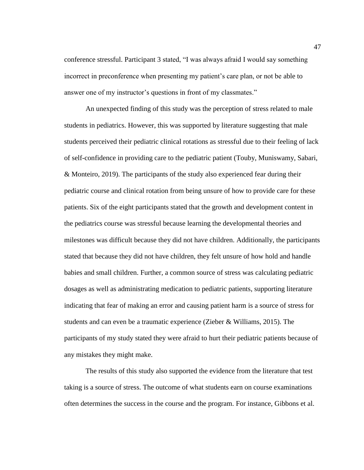conference stressful. Participant 3 stated, "I was always afraid I would say something incorrect in preconference when presenting my patient's care plan, or not be able to answer one of my instructor's questions in front of my classmates."

An unexpected finding of this study was the perception of stress related to male students in pediatrics. However, this was supported by literature suggesting that male students perceived their pediatric clinical rotations as stressful due to their feeling of lack of self-confidence in providing care to the pediatric patient (Touby, Muniswamy, Sabari, & Monteiro, 2019). The participants of the study also experienced fear during their pediatric course and clinical rotation from being unsure of how to provide care for these patients. Six of the eight participants stated that the growth and development content in the pediatrics course was stressful because learning the developmental theories and milestones was difficult because they did not have children. Additionally, the participants stated that because they did not have children, they felt unsure of how hold and handle babies and small children. Further, a common source of stress was calculating pediatric dosages as well as administrating medication to pediatric patients, supporting literature indicating that fear of making an error and causing patient harm is a source of stress for students and can even be a traumatic experience (Zieber & Williams, 2015). The participants of my study stated they were afraid to hurt their pediatric patients because of any mistakes they might make.

The results of this study also supported the evidence from the literature that test taking is a source of stress. The outcome of what students earn on course examinations often determines the success in the course and the program. For instance, Gibbons et al.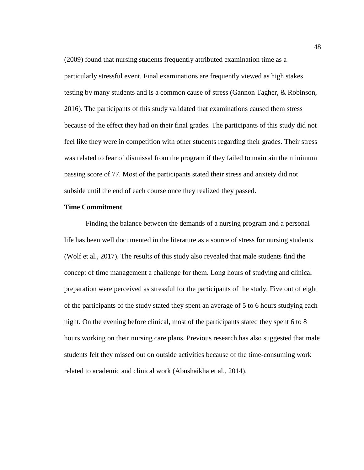(2009) found that nursing students frequently attributed examination time as a particularly stressful event. Final examinations are frequently viewed as high stakes testing by many students and is a common cause of stress (Gannon Tagher, & Robinson, 2016). The participants of this study validated that examinations caused them stress because of the effect they had on their final grades. The participants of this study did not feel like they were in competition with other students regarding their grades. Their stress was related to fear of dismissal from the program if they failed to maintain the minimum passing score of 77. Most of the participants stated their stress and anxiety did not subside until the end of each course once they realized they passed.

# **Time Commitment**

Finding the balance between the demands of a nursing program and a personal life has been well documented in the literature as a source of stress for nursing students (Wolf et al., 2017). The results of this study also revealed that male students find the concept of time management a challenge for them. Long hours of studying and clinical preparation were perceived as stressful for the participants of the study. Five out of eight of the participants of the study stated they spent an average of 5 to 6 hours studying each night. On the evening before clinical, most of the participants stated they spent 6 to 8 hours working on their nursing care plans. Previous research has also suggested that male students felt they missed out on outside activities because of the time-consuming work related to academic and clinical work (Abushaikha et al., 2014).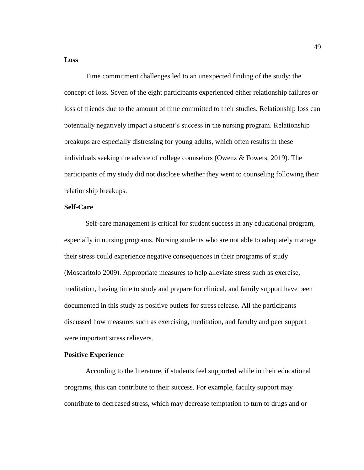#### **Loss**

Time commitment challenges led to an unexpected finding of the study: the concept of loss. Seven of the eight participants experienced either relationship failures or loss of friends due to the amount of time committed to their studies. Relationship loss can potentially negatively impact a student's success in the nursing program. Relationship breakups are especially distressing for young adults, which often results in these individuals seeking the advice of college counselors (Owenz & Fowers, 2019). The participants of my study did not disclose whether they went to counseling following their relationship breakups.

# **Self-Care**

Self-care management is critical for student success in any educational program, especially in nursing programs. Nursing students who are not able to adequately manage their stress could experience negative consequences in their programs of study (Moscaritolo 2009). Appropriate measures to help alleviate stress such as exercise, meditation, having time to study and prepare for clinical, and family support have been documented in this study as positive outlets for stress release. All the participants discussed how measures such as exercising, meditation, and faculty and peer support were important stress relievers.

## **Positive Experience**

According to the literature, if students feel supported while in their educational programs, this can contribute to their success. For example, faculty support may contribute to decreased stress, which may decrease temptation to turn to drugs and or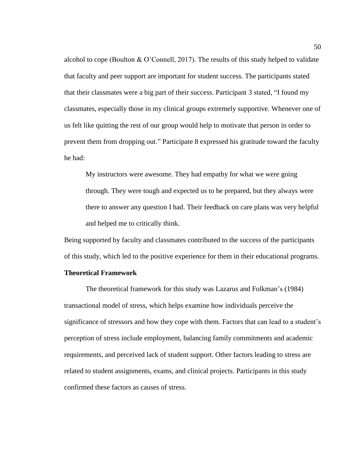alcohol to cope (Boulton & O'Connell, 2017). The results of this study helped to validate that faculty and peer support are important for student success. The participants stated that their classmates were a big part of their success. Participant 3 stated, "I found my classmates, especially those in my clinical groups extremely supportive. Whenever one of us felt like quitting the rest of our group would help to motivate that person in order to prevent them from dropping out." Participate 8 expressed his gratitude toward the faculty he had:

My instructors were awesome. They had empathy for what we were going through. They were tough and expected us to be prepared, but they always were there to answer any question I had. Their feedback on care plans was very helpful and helped me to critically think.

Being supported by faculty and classmates contributed to the success of the participants of this study, which led to the positive experience for them in their educational programs.

# **Theoretical Framework**

The theoretical framework for this study was Lazarus and Folkman's (1984) transactional model of stress, which helps examine how individuals perceive the significance of stressors and how they cope with them. Factors that can lead to a student's perception of stress include employment, balancing family commitments and academic requirements, and perceived lack of student support. Other factors leading to stress are related to student assignments, exams, and clinical projects. Participants in this study confirmed these factors as causes of stress.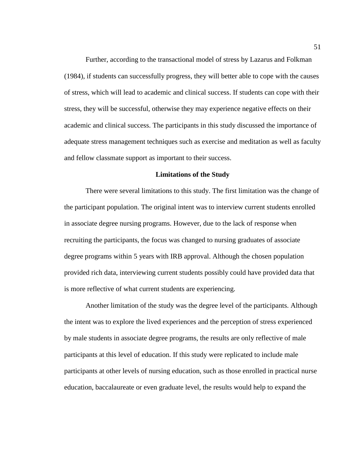Further, according to the transactional model of stress by Lazarus and Folkman (1984), if students can successfully progress, they will better able to cope with the causes of stress, which will lead to academic and clinical success. If students can cope with their stress, they will be successful, otherwise they may experience negative effects on their academic and clinical success. The participants in this study discussed the importance of adequate stress management techniques such as exercise and meditation as well as faculty and fellow classmate support as important to their success.

#### **Limitations of the Study**

There were several limitations to this study. The first limitation was the change of the participant population. The original intent was to interview current students enrolled in associate degree nursing programs. However, due to the lack of response when recruiting the participants, the focus was changed to nursing graduates of associate degree programs within 5 years with IRB approval. Although the chosen population provided rich data, interviewing current students possibly could have provided data that is more reflective of what current students are experiencing.

Another limitation of the study was the degree level of the participants. Although the intent was to explore the lived experiences and the perception of stress experienced by male students in associate degree programs, the results are only reflective of male participants at this level of education. If this study were replicated to include male participants at other levels of nursing education, such as those enrolled in practical nurse education, baccalaureate or even graduate level, the results would help to expand the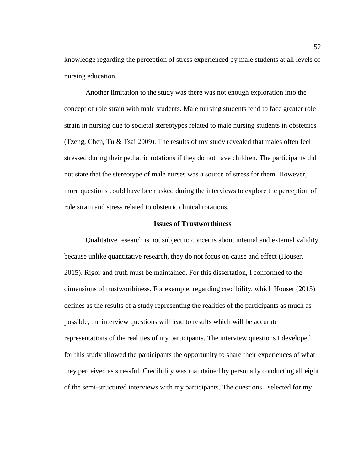knowledge regarding the perception of stress experienced by male students at all levels of nursing education.

Another limitation to the study was there was not enough exploration into the concept of role strain with male students. Male nursing students tend to face greater role strain in nursing due to societal stereotypes related to male nursing students in obstetrics (Tzeng, Chen, Tu & Tsai 2009). The results of my study revealed that males often feel stressed during their pediatric rotations if they do not have children. The participants did not state that the stereotype of male nurses was a source of stress for them. However, more questions could have been asked during the interviews to explore the perception of role strain and stress related to obstetric clinical rotations.

#### **Issues of Trustworthiness**

Qualitative research is not subject to concerns about internal and external validity because unlike quantitative research, they do not focus on cause and effect (Houser, 2015). Rigor and truth must be maintained. For this dissertation, I conformed to the dimensions of trustworthiness. For example, regarding credibility, which Houser (2015) defines as the results of a study representing the realities of the participants as much as possible, the interview questions will lead to results which will be accurate representations of the realities of my participants. The interview questions I developed for this study allowed the participants the opportunity to share their experiences of what they perceived as stressful. Credibility was maintained by personally conducting all eight of the semi-structured interviews with my participants. The questions I selected for my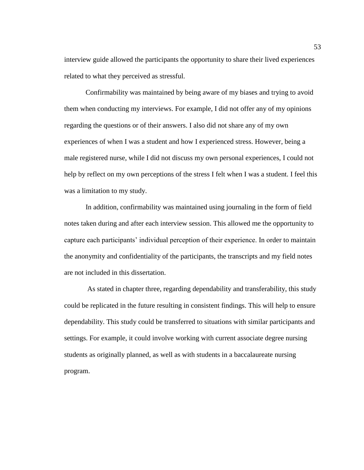interview guide allowed the participants the opportunity to share their lived experiences related to what they perceived as stressful.

Confirmability was maintained by being aware of my biases and trying to avoid them when conducting my interviews. For example, I did not offer any of my opinions regarding the questions or of their answers. I also did not share any of my own experiences of when I was a student and how I experienced stress. However, being a male registered nurse, while I did not discuss my own personal experiences, I could not help by reflect on my own perceptions of the stress I felt when I was a student. I feel this was a limitation to my study.

In addition, confirmability was maintained using journaling in the form of field notes taken during and after each interview session. This allowed me the opportunity to capture each participants' individual perception of their experience. In order to maintain the anonymity and confidentiality of the participants, the transcripts and my field notes are not included in this dissertation.

As stated in chapter three, regarding dependability and transferability, this study could be replicated in the future resulting in consistent findings. This will help to ensure dependability. This study could be transferred to situations with similar participants and settings. For example, it could involve working with current associate degree nursing students as originally planned, as well as with students in a baccalaureate nursing program.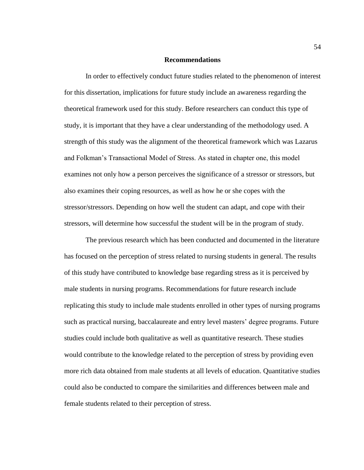## **Recommendations**

In order to effectively conduct future studies related to the phenomenon of interest for this dissertation, implications for future study include an awareness regarding the theoretical framework used for this study. Before researchers can conduct this type of study, it is important that they have a clear understanding of the methodology used. A strength of this study was the alignment of the theoretical framework which was Lazarus and Folkman's Transactional Model of Stress. As stated in chapter one, this model examines not only how a person perceives the significance of a stressor or stressors, but also examines their coping resources, as well as how he or she copes with the stressor/stressors. Depending on how well the student can adapt, and cope with their stressors, will determine how successful the student will be in the program of study.

The previous research which has been conducted and documented in the literature has focused on the perception of stress related to nursing students in general. The results of this study have contributed to knowledge base regarding stress as it is perceived by male students in nursing programs. Recommendations for future research include replicating this study to include male students enrolled in other types of nursing programs such as practical nursing, baccalaureate and entry level masters' degree programs. Future studies could include both qualitative as well as quantitative research. These studies would contribute to the knowledge related to the perception of stress by providing even more rich data obtained from male students at all levels of education. Quantitative studies could also be conducted to compare the similarities and differences between male and female students related to their perception of stress.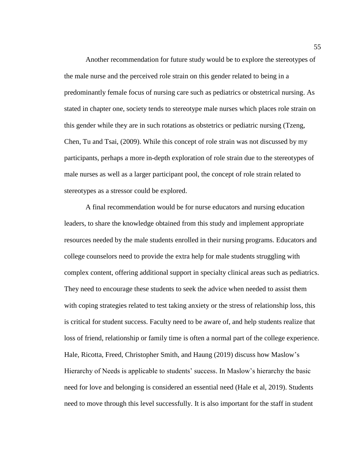Another recommendation for future study would be to explore the stereotypes of the male nurse and the perceived role strain on this gender related to being in a predominantly female focus of nursing care such as pediatrics or obstetrical nursing. As stated in chapter one, society tends to stereotype male nurses which places role strain on this gender while they are in such rotations as obstetrics or pediatric nursing (Tzeng, Chen, Tu and Tsai, (2009). While this concept of role strain was not discussed by my participants, perhaps a more in-depth exploration of role strain due to the stereotypes of male nurses as well as a larger participant pool, the concept of role strain related to stereotypes as a stressor could be explored.

A final recommendation would be for nurse educators and nursing education leaders, to share the knowledge obtained from this study and implement appropriate resources needed by the male students enrolled in their nursing programs. Educators and college counselors need to provide the extra help for male students struggling with complex content, offering additional support in specialty clinical areas such as pediatrics. They need to encourage these students to seek the advice when needed to assist them with coping strategies related to test taking anxiety or the stress of relationship loss, this is critical for student success. Faculty need to be aware of, and help students realize that loss of friend, relationship or family time is often a normal part of the college experience. Hale, Ricotta, Freed, Christopher Smith, and Haung (2019) discuss how Maslow's Hierarchy of Needs is applicable to students' success. In Maslow's hierarchy the basic need for love and belonging is considered an essential need (Hale et al, 2019). Students need to move through this level successfully. It is also important for the staff in student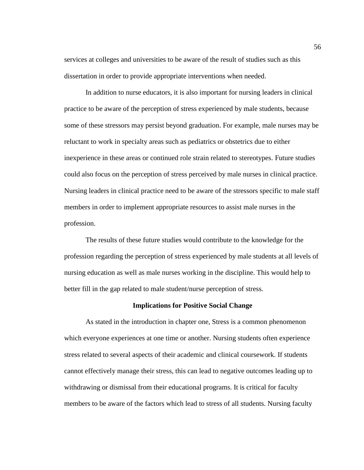services at colleges and universities to be aware of the result of studies such as this dissertation in order to provide appropriate interventions when needed.

In addition to nurse educators, it is also important for nursing leaders in clinical practice to be aware of the perception of stress experienced by male students, because some of these stressors may persist beyond graduation. For example, male nurses may be reluctant to work in specialty areas such as pediatrics or obstetrics due to either inexperience in these areas or continued role strain related to stereotypes. Future studies could also focus on the perception of stress perceived by male nurses in clinical practice. Nursing leaders in clinical practice need to be aware of the stressors specific to male staff members in order to implement appropriate resources to assist male nurses in the profession.

The results of these future studies would contribute to the knowledge for the profession regarding the perception of stress experienced by male students at all levels of nursing education as well as male nurses working in the discipline. This would help to better fill in the gap related to male student/nurse perception of stress.

#### **Implications for Positive Social Change**

As stated in the introduction in chapter one, Stress is a common phenomenon which everyone experiences at one time or another. Nursing students often experience stress related to several aspects of their academic and clinical coursework. If students cannot effectively manage their stress, this can lead to negative outcomes leading up to withdrawing or dismissal from their educational programs. It is critical for faculty members to be aware of the factors which lead to stress of all students. Nursing faculty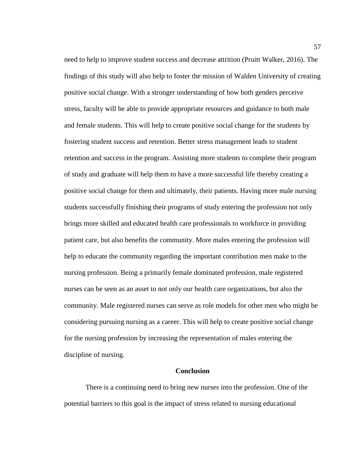need to help to improve student success and decrease attrition (Pruitt Walker, 2016). The findings of this study will also help to foster the mission of Walden University of creating positive social change. With a stronger understanding of how both genders perceive stress, faculty will be able to provide appropriate resources and guidance to both male and female students. This will help to create positive social change for the students by fostering student success and retention. Better stress management leads to student retention and success in the program. Assisting more students to complete their program of study and graduate will help them to have a more successful life thereby creating a positive social change for them and ultimately, their patients. Having more male nursing students successfully finishing their programs of study entering the profession not only brings more skilled and educated health care professionals to workforce in providing patient care, but also benefits the community. More males entering the profession will help to educate the community regarding the important contribution men make to the nursing profession. Being a primarily female dominated profession, male registered nurses can be seen as an asset to not only our health care organizations, but also the community. Male registered nurses can serve as role models for other men who might be considering pursuing nursing as a career. This will help to create positive social change for the nursing profession by increasing the representation of males entering the discipline of nursing.

#### **Conclusion**

There is a continuing need to bring new nurses into the profession. One of the potential barriers to this goal is the impact of stress related to nursing educational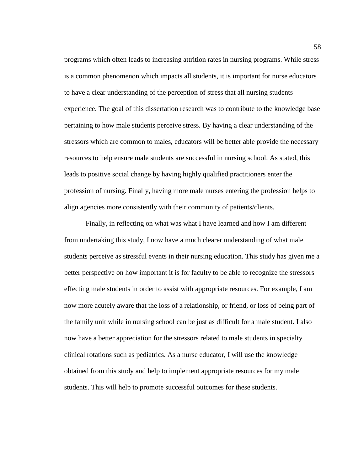programs which often leads to increasing attrition rates in nursing programs. While stress is a common phenomenon which impacts all students, it is important for nurse educators to have a clear understanding of the perception of stress that all nursing students experience. The goal of this dissertation research was to contribute to the knowledge base pertaining to how male students perceive stress. By having a clear understanding of the stressors which are common to males, educators will be better able provide the necessary resources to help ensure male students are successful in nursing school. As stated, this leads to positive social change by having highly qualified practitioners enter the profession of nursing. Finally, having more male nurses entering the profession helps to align agencies more consistently with their community of patients/clients.

Finally, in reflecting on what was what I have learned and how I am different from undertaking this study, I now have a much clearer understanding of what male students perceive as stressful events in their nursing education. This study has given me a better perspective on how important it is for faculty to be able to recognize the stressors effecting male students in order to assist with appropriate resources. For example, I am now more acutely aware that the loss of a relationship, or friend, or loss of being part of the family unit while in nursing school can be just as difficult for a male student. I also now have a better appreciation for the stressors related to male students in specialty clinical rotations such as pediatrics. As a nurse educator, I will use the knowledge obtained from this study and help to implement appropriate resources for my male students. This will help to promote successful outcomes for these students.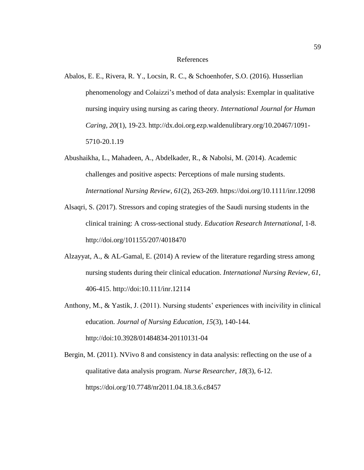#### References

- Abalos, E. E., Rivera, R. Y., Locsin, R. C., & Schoenhofer, S.O. (2016). Husserlian phenomenology and Colaizzi's method of data analysis: Exemplar in qualitative nursing inquiry using nursing as caring theory. *International Journal for Human Caring, 20*(1), 19-23. http://dx.doi.org.ezp.waldenulibrary.org/10.20467/1091- 5710-20.1.19
- Abushaikha, L., Mahadeen, A., Abdelkader, R., & Nabolsi, M. (2014). Academic challenges and positive aspects: Perceptions of male nursing students. *International Nursing Review*, *61*(2), 263-269. https://doi.org/10.1111/inr.12098
- Alsaqri, S. (2017). Stressors and coping strategies of the Saudi nursing students in the clinical training: A cross-sectional study. *Education Research International*, 1-8. http://doi.org/101155/207/4018470
- Alzayyat, A., & AL-Gamal, E. (2014) A review of the literature regarding stress among nursing students during their clinical education. *International Nursing Review, 61*, 406-415. http://doi:10.111/inr.12114
- Anthony, M., & Yastik, J. (2011). Nursing students' experiences with incivility in clinical education. *Journal of Nursing Education*, *15*(3), 140-144. http://doi:10.3928/01484834-20110131-04
- Bergin, M. (2011). NVivo 8 and consistency in data analysis: reflecting on the use of a qualitative data analysis program. *Nurse Researcher, 18*(3), 6-12. https://doi.org/10.7748/nr2011.04.18.3.6.c8457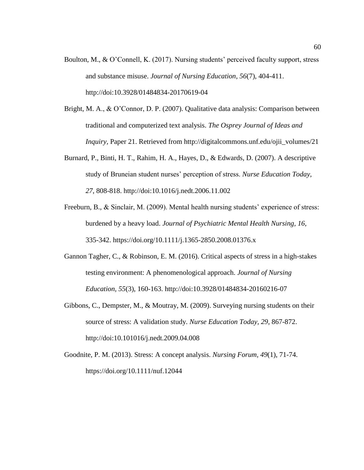- Boulton, M., & O'Connell, K. (2017). Nursing students' perceived faculty support, stress and substance misuse. *Journal of Nursing Education*, *56*(7), 404-411. http://doi:10.3928/01484834-20170619-04
- Bright, M. A., & O'Connor, D. P. (2007). Qualitative data analysis: Comparison between traditional and computerized text analysis. *The Osprey Journal of Ideas and Inquiry,* Paper 21. Retrieved from http://digitalcommons.unf.edu/ojii\_volumes/21
- Burnard, P., Binti, H. T., Rahim, H. A., Hayes, D., & Edwards, D. (2007). A descriptive study of Bruneian student nurses' perception of stress. *Nurse Education Today, 27*, 808-818. http://doi:10.1016/j.nedt.2006.11.002
- Freeburn, B., & Sinclair, M. (2009). Mental health nursing students' experience of stress: burdened by a heavy load. *Journal of Psychiatric Mental Health Nursing, 16*, 335-342. https://doi.org/10.1111/j.1365-2850.2008.01376.x
- Gannon Tagher, C., & Robinson, E. M. (2016). Critical aspects of stress in a high-stakes testing environment: A phenomenological approach. *Journal of Nursing Education, 55*(3), 160-163. http://doi:10.3928/01484834-20160216-07
- Gibbons, C., Dempster, M., & Moutray, M. (2009). Surveying nursing students on their source of stress: A validation study. *Nurse Education Today, 29*, 867-872. http://doi:10.101016/j.nedt.2009.04.008
- Goodnite, P. M. (2013). Stress: A concept analysis. *Nursing Forum, 49*(1), 71-74. https://doi.org/10.1111/nuf.12044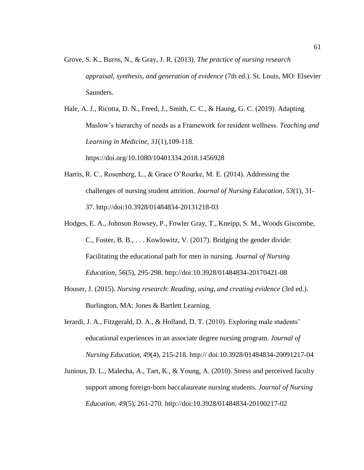Grove, S. K., Burns, N., & Gray, J. R. (2013). *The practice of nursing research appraisal, synthesis, and generation of evidence* (7th ed.). St. Louis, MO: Elsevier Saunders.

Hale, A. J., Ricotta, D. N., Freed, J., Smith, C. C., & Haung, G. C. (2019). Adapting Maslow's hierarchy of needs as a Framework for resident wellness. *Teaching and Learning in Medicine, 31*(1),109-118. https://doi.org/10.1080/10401334.2018.1456928

- Harris, R. C., Rosenberg, L., & Grace O'Rourke, M. E. (2014). Addressing the challenges of nursing student attrition. *Journal of Nursing Education, 53*(1), 31- 37. http://doi:10.3928/01484834-20131218-03
- Hodges, E. A., Johnson Rowsey, P., Fowler Gray, T., Kneipp, S. M., Woods Giscombe, C., Foster, B. B., . . . Kowlowitz, V. (2017). Bridging the gender divide: Facilitating the educational path for men in nursing. *Journal of Nursing Education, 56*(5), 295-298. http://doi:10.3928/01484834-20170421-08
- Houser, J. (2015). *Nursing research*: *Reading, using, and creating evidence* (3rd ed.). Burlington, MA: Jones & Bartlett Learning.
- Ierardi, J. A., Fitzgerald, D. A., & Holland, D. T. (2010). Exploring male students' educational experiences in an associate degree nursing program. *Journal of Nursing Education, 49*(4), 215-218. http:// doi:10.3928/01484834-20091217-04
- Junious, D. L., Malecha, A., Tart, K., & Young, A. (2010). Stress and perceived faculty support among foreign-born baccalaureate nursing students. *Journal of Nursing Education, 49*(5), 261-270. http://doi:10.3928/01484834-20100217-02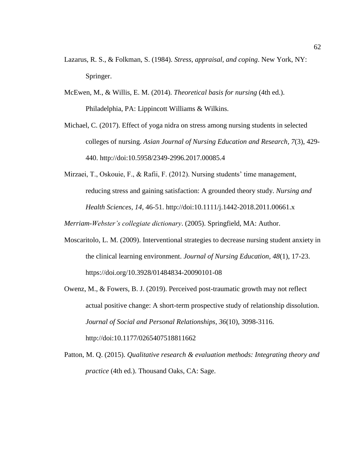- Lazarus, R. S., & Folkman, S. (1984). *Stress, appraisal, and coping*. New York, NY: Springer.
- McEwen, M., & Willis, E. M. (2014). *Theoretical basis for nursing* (4th ed.). Philadelphia, PA: Lippincott Williams & Wilkins.
- Michael, C. (2017). Effect of yoga nidra on stress among nursing students in selected colleges of nursing. *Asian Journal of Nursing Education and Research, 7*(3), 429- 440. http://doi:10.5958/2349-2996.2017.00085.4
- Mirzaei, T., Oskouie, F., & Rafii, F. (2012). Nursing students' time management, reducing stress and gaining satisfaction: A grounded theory study. *Nursing and Health Sciences, 14*, 46-51. http://doi:10.1111/j.1442-2018.2011.00661.x

*Merriam-Webster's collegiate dictionary*. (2005). Springfield, MA: Author.

- Moscaritolo, L. M. (2009). Interventional strategies to decrease nursing student anxiety in the clinical learning environment. *Journal of Nursing Education, 48*(1), 17-23. https://doi.org/10.3928/01484834-20090101-08
- Owenz, M., & Fowers, B. J. (2019). Perceived post-traumatic growth may not reflect actual positive change: A short-term prospective study of relationship dissolution. *Journal of Social and Personal Relationships, 36*(10), 3098-3116. http://doi:10.1177/0265407518811662
- Patton, M. Q. (2015). *Qualitative research & evaluation methods: Integrating theory and practice* (4th ed.). Thousand Oaks, CA: Sage.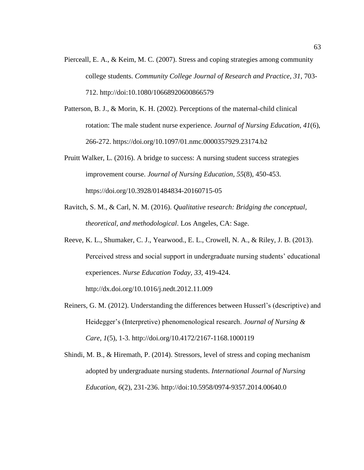- Pierceall, E. A., & Keim, M. C. (2007). Stress and coping strategies among community college students. *Community College Journal of Research and Practice, 31*, 703- 712. http://doi:10.1080/10668920600866579
- Patterson, B. J., & Morin, K. H. (2002). Perceptions of the maternal-child clinical rotation: The male student nurse experience. *Journal of Nursing Education, 41*(6), 266-272. https://doi.org/10.1097/01.nmc.0000357929.23174.b2
- Pruitt Walker, L. (2016). A bridge to success: A nursing student success strategies improvement course. *Journal of Nursing Education, 55*(8), 450-453. https://doi.org/10.3928/01484834-20160715-05
- Ravitch, S. M., & Carl, N. M. (2016). *Qualitative* r*esearch: Bridging the conceptual, theoretical, and methodological*. Los Angeles, CA: Sage.
- Reeve, K. L., Shumaker, C. J., Yearwood., E. L., Crowell, N. A., & Riley, J. B. (2013). Perceived stress and social support in undergraduate nursing students' educational experiences. *Nurse Education Today, 33*, 419-424. http://dx.doi.org/10.1016/j.nedt.2012.11.009
- Reiners, G. M. (2012). Understanding the differences between Husserl's (descriptive) and Heidegger's (Interpretive) phenomenological research. *Journal of Nursing & Care, 1*(5), 1-3. http://doi.org/10.4172/2167-1168.1000119
- Shindi, M. B., & Hiremath, P. (2014). Stressors, level of stress and coping mechanism adopted by undergraduate nursing students. *International Journal of Nursing Education, 6*(2), 231-236. http://doi:10.5958/0974-9357.2014.00640.0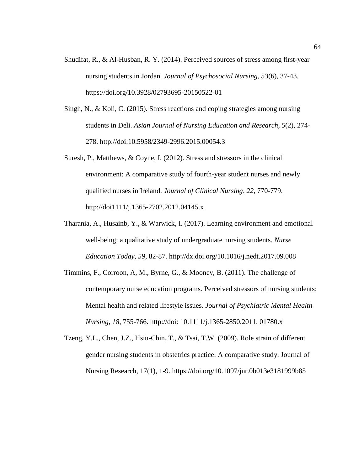- Shudifat, R., & Al-Husban, R. Y. (2014). Perceived sources of stress among first-year nursing students in Jordan. *Journal of Psychosocial Nursing, 53*(6), 37-43. https://doi.org/10.3928/02793695-20150522-01
- Singh, N., & Koli, C. (2015). Stress reactions and coping strategies among nursing students in Deli. *Asian Journal of Nursing Education and Research, 5*(2), 274- 278. http://doi:10.5958/2349-2996.2015.00054.3
- Suresh, P., Matthews, & Coyne, I. (2012). Stress and stressors in the clinical environment: A comparative study of fourth-year student nurses and newly qualified nurses in Ireland. *Journal of Clinical Nursing*, *22*, 770-779. http://doi1111/j.1365-2702.2012.04145.x
- Tharania, A., Husainb, Y., & Warwick, I. (2017). Learning environment and emotional well-being: a qualitative study of undergraduate nursing students. *Nurse Education Today*, *59*, 82-87. http://dx.doi.org/10.1016/j.nedt.2017.09.008
- Timmins, F., Corroon, A, M., Byrne, G., & Mooney, B. (2011). The challenge of contemporary nurse education programs. Perceived stressors of nursing students: Mental health and related lifestyle issues. *Journal of Psychiatric Mental Health Nursing*, *18*, 755-766. http://doi: 10.1111/j.1365-2850.2011. 01780.x
- Tzeng, Y.L., Chen, J.Z., Hsiu-Chin, T., & Tsai, T.W. (2009). Role strain of different gender nursing students in obstetrics practice: A comparative study. Journal of Nursing Research, 17(1), 1-9. https://doi.org/10.1097/jnr.0b013e3181999b85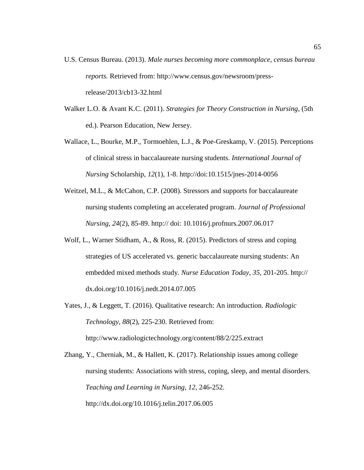- U.S. Census Bureau. (2013). *Male nurses becoming more commonplace, census bureau reports.* Retrieved from: http://www.census.gov/newsroom/pressrelease/2013/cb13-32.html
- Walker L.O. & Avant K.C. (2011). *Strategies for Theory Construction in Nursing*, (5th ed.). Pearson Education, New Jersey.
- Wallace, L., Bourke, M.P., Tormoehlen, L.J., & Poe-Greskamp, V. (2015). Perceptions of clinical stress in baccalaureate nursing students. *International Journal of Nursing* Scholarship, *12*(1), 1-8. http://doi:10.1515/jnes-2014-0056
- Weitzel, M.L., & McCahon, C.P. (2008). Stressors and supports for baccalaureate nursing students completing an accelerated program. *Journal of Professional Nursing*, *24*(2), 85-89. http:// doi: 10.1016/j.profnurs.2007.06.017
- Wolf, L., Warner Stidham, A., & Ross, R. (2015). Predictors of stress and coping strategies of US accelerated vs. generic baccalaureate nursing students: An embedded mixed methods study. *Nurse Education Today*, *35*, 201-205. http:// dx.doi.org/10.1016/j.nedt.2014.07.005
- Yates, J., & Leggett, T. (2016). Qualitative research: An introduction. *Radiologic Technology*, *88*(2), 225-230. Retrieved from: http://www.radiologictechnology.org/content/88/2/225.extract

Zhang, Y., Cherniak, M., & Hallett, K. (2017). Relationship issues among college nursing students: Associations with stress, coping, sleep, and mental disorders. *Teaching and Learning in Nursing*, *12*, 246-252. http://dx.doi.org/10.1016/j.telin.2017.06.005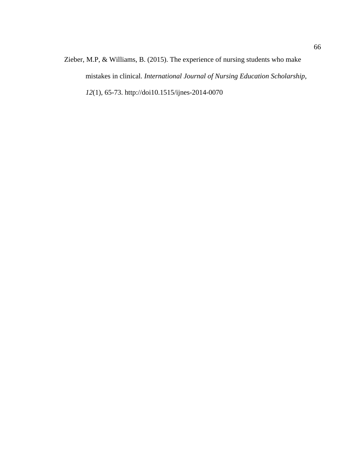Zieber, M.P, & Williams, B. (2015). The experience of nursing students who make mistakes in clinical. *International Journal of Nursing Education Scholarship*, *12*(1), 65-73. http://doi10.1515/ijnes-2014-0070